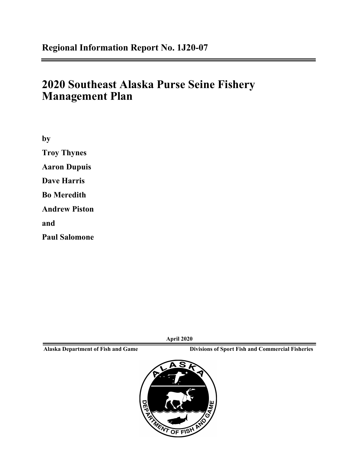# **2020 Southeast Alaska Purse Seine Fishery Management Plan**

**by Troy Thynes Aaron Dupuis Dave Harris Bo Meredith Andrew Piston and Paul Salomone**

**April 2020**

**Alaska Department of Fish and Game Divisions of Sport Fish and Commercial Fisheries**

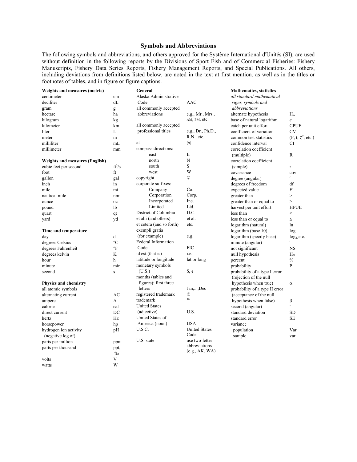#### **Symbols and Abbreviations**

The following symbols and abbreviations, and others approved for the Système International d'Unités (SI), are used without definition in the following reports by the Divisions of Sport Fish and of Commercial Fisheries: Fishery Manuscripts, Fishery Data Series Reports, Fishery Management Reports, and Special Publications. All others, including deviations from definitions listed below, are noted in the text at first mention, as well as in the titles or footnotes of tables, and in figure or figure captions.

| Weights and measures (metric)         |                 | General                  |                             | <b>Mathematics, statistics</b> |                        |
|---------------------------------------|-----------------|--------------------------|-----------------------------|--------------------------------|------------------------|
| centimeter                            | cm              | Alaska Administrative    |                             | all standard mathematical      |                        |
| deciliter                             | dL              | Code                     | <b>AAC</b>                  | signs, symbols and             |                        |
| gram                                  | g               | all commonly accepted    |                             | abbreviations                  |                        |
| hectare                               | ha              | abbreviations            | e.g., Mr., Mrs.,            | alternate hypothesis           | $H_A$                  |
| kilogram                              | kg              |                          | AM, PM, etc.                | base of natural logarithm      | $\mathfrak{e}$         |
| kilometer                             | km              | all commonly accepted    |                             | catch per unit effort          | <b>CPUE</b>            |
| liter                                 | L               | professional titles      | e.g., Dr., Ph.D.,           | coefficient of variation       | <b>CV</b>              |
| meter                                 | m               |                          | R.N., etc.                  | common test statistics         | $(F, t, \chi^2, etc.)$ |
| milliliter                            | mL              | at                       | $\left(\overline{a}\right)$ | confidence interval            | <b>CI</b>              |
| millimeter                            | mm              | compass directions:      |                             | correlation coefficient        |                        |
|                                       |                 | east                     | E                           | (multiple)                     | $\mathbb{R}$           |
| <b>Weights and measures (English)</b> |                 | north                    | N                           | correlation coefficient        |                        |
| cubic feet per second                 | $ft^3/s$        | south                    | S                           | (simple)                       | $\mathbf{r}$           |
| foot                                  | $_{\rm ft}$     | west                     | W                           | covariance                     | cov                    |
| gallon                                | gal             | copyright                | $^{\circ}$                  | degree (angular)               | $\circ$                |
| inch                                  | in              | corporate suffixes:      |                             | degrees of freedom             | df                     |
| mile                                  | mi              | Company                  | Co.                         | expected value                 | E                      |
| nautical mile                         | nmi             | Corporation              | Corp.                       | greater than                   | $\geq$                 |
| ounce                                 | <b>OZ</b>       | Incorporated             | Inc.                        | greater than or equal to       | $\geq$                 |
| pound                                 | 1b              | Limited                  | Ltd.                        | harvest per unit effort        | <b>HPUE</b>            |
| quart                                 | qt              | District of Columbia     | D.C.                        | less than                      | $\,<$                  |
| yard                                  | yd              | et alii (and others)     | et al.                      | less than or equal to          | $\leq$                 |
|                                       |                 | et cetera (and so forth) | etc.                        | logarithm (natural)            | ln                     |
| Time and temperature                  |                 | exempli gratia           |                             | logarithm (base 10)            | log                    |
| day                                   | d               | (for example)            | e.g.                        | logarithm (specify base)       | $log2$ etc.            |
| degrees Celsius                       | $\rm ^{\circ}C$ | Federal Information      |                             | minute (angular)               |                        |
| degrees Fahrenheit                    | $\mathrm{P}$    | Code                     | <b>FIC</b>                  | not significant                | <b>NS</b>              |
| degrees kelvin                        | K               | id est (that is)         | i.e.                        | null hypothesis                | $H_{\Omega}$           |
| hour                                  | h               | latitude or longitude    | lat or long                 | percent                        | $\frac{0}{0}$          |
| minute                                | min             | monetary symbols         |                             | probability                    | P                      |
| second                                | $\mathbf{s}$    | (U.S.)                   | $\frac{1}{2}$ , $\phi$      | probability of a type I error  |                        |
|                                       |                 | months (tables and       |                             | (rejection of the null         |                        |
| Physics and chemistry                 |                 | figures): first three    |                             | hypothesis when true)          | $\alpha$               |
| all atomic symbols                    |                 | letters                  | Jan,,Dec                    | probability of a type II error |                        |
| alternating current                   | AC              | registered trademark     | $^{\circledR}$              | (acceptance of the null        |                        |
| ampere                                | A               | trademark                | <b>TM</b>                   | hypothesis when false)         | β                      |
| calorie                               | cal             | <b>United States</b>     |                             | second (angular)               | H.                     |
| direct current                        | DC              | (adjective)              | U.S.                        | standard deviation             | SD                     |
| hertz                                 | Hz              | United States of         |                             | standard error                 | <b>SE</b>              |
| horsepower                            | hp              | America (noun)           | <b>USA</b>                  | variance                       |                        |
| hydrogen ion activity                 | pH              | U.S.C.                   | <b>United States</b>        | population                     | Var                    |
| (negative log of)                     |                 |                          | Code                        | sample                         | var                    |
| parts per million                     | ppm             | U.S. state               | use two-letter              |                                |                        |
| parts per thousand                    | ppt,            |                          | abbreviations               |                                |                        |
|                                       | %               |                          | (e.g., AK, WA)              |                                |                        |
| volts                                 | V               |                          |                             |                                |                        |
| watts                                 | W               |                          |                             |                                |                        |
|                                       |                 |                          |                             |                                |                        |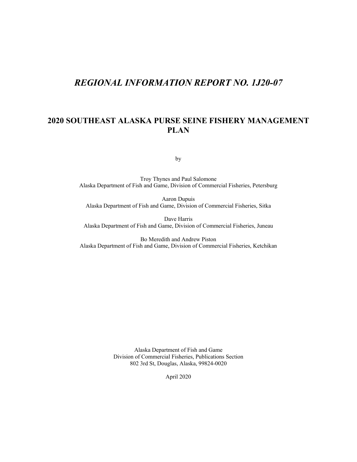# *REGIONAL INFORMATION REPORT NO. 1J20-07*

#### **2020 SOUTHEAST ALASKA PURSE SEINE FISHERY MANAGEMENT PLAN**

by

Troy Thynes and Paul Salomone Alaska Department of Fish and Game, Division of Commercial Fisheries, Petersburg

Aaron Dupuis Alaska Department of Fish and Game, Division of Commercial Fisheries, Sitka

Dave Harris Alaska Department of Fish and Game, Division of Commercial Fisheries, Juneau

Bo Meredith and Andrew Piston Alaska Department of Fish and Game, Division of Commercial Fisheries, Ketchikan

> Alaska Department of Fish and Game Division of Commercial Fisheries, Publications Section 802 3rd St, Douglas, Alaska, 99824-0020

> > April 2020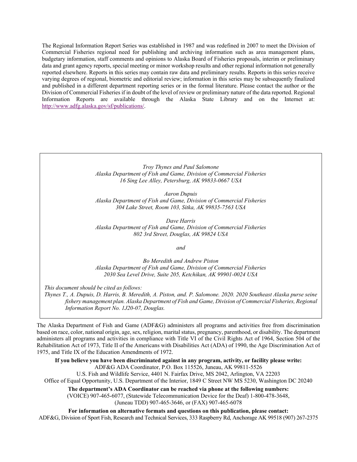The Regional Information Report Series was established in 1987 and was redefined in 2007 to meet the Division of Commercial Fisheries regional need for publishing and archiving information such as area management plans, budgetary information, staff comments and opinions to Alaska Board of Fisheries proposals, interim or preliminary data and grant agency reports, special meeting or minor workshop results and other regional information not generally reported elsewhere. Reports in this series may contain raw data and preliminary results. Reports in this series receive varying degrees of regional, biometric and editorial review; information in this series may be subsequently finalized and published in a different department reporting series or in the formal literature. Please contact the author or the Division of Commercial Fisheries if in doubt of the level of review or preliminary nature of the data reported. Regional Information Reports are available through the Alaska State Library and on the Internet at: [http://www.adfg.alaska.gov/sf/publications/.](http://www.adfg.alaska.gov/sf/publications/)

> *Troy Thynes and Paul Salomone Alaska Department of Fish and Game, Division of Commercial Fisheries 16 Sing Lee Alley, Petersburg, AK 99833-0667 USA*

> *Aaron Dupuis Alaska Department of Fish and Game, Division of Commercial Fisheries 304 Lake Street, Room 103, Sitka, AK 99835-7563 USA*

> *Dave Harris Alaska Department of Fish and Game, Division of Commercial Fisheries 802 3rd Street, Douglas, AK 99824 USA*

> > *and*

*Bo Meredith and Andrew Piston Alaska Department of Fish and Game, Division of Commercial Fisheries 2030 Sea Level Drive, Suite 205, Ketchikan, AK 99901-0024 USA*

*This document should be cited as follows:*

*Thynes T., A. Dupuis, D. Harris, B. Meredith, A. Piston, and. P. Salomone. 2020. 2020 Southeast Alaska purse seine fishery management plan. Alaska Department of Fish and Game, Division of Commercial Fisheries, Regional Information Report No. 1J20-07, Douglas.*

The Alaska Department of Fish and Game (ADF&G) administers all programs and activities free from discrimination based on race, color, national origin, age, sex, religion, marital status, pregnancy, parenthood, or disability. The department administers all programs and activities in compliance with Title VI of the Civil Rights Act of 1964, Section 504 of the Rehabilitation Act of 1973, Title II of the Americans with Disabilities Act (ADA) of 1990, the Age Discrimination Act of 1975, and Title IX of the Education Amendments of 1972.

**If you believe you have been discriminated against in any program, activity, or facility please write:** ADF&G ADA Coordinator, P.O. Box 115526, Juneau, AK 99811-5526 U.S. Fish and Wildlife Service, 4401 N. Fairfax Drive, MS 2042, Arlington, VA 22203 Office of Equal Opportunity, U.S. Department of the Interior, 1849 C Street NW MS 5230, Washington DC 20240 **The department's ADA Coordinator can be reached via phone at the following numbers:**

(VOICE) 907-465-6077, (Statewide Telecommunication Device for the Deaf) 1-800-478-3648, (Juneau TDD) 907-465-3646, or (FAX) 907-465-6078

**For information on alternative formats and questions on this publication, please contact:** ADF&G, Division of Sport Fish, Research and Technical Services, 333 Raspberry Rd, Anchorage AK 99518 (907) 267-2375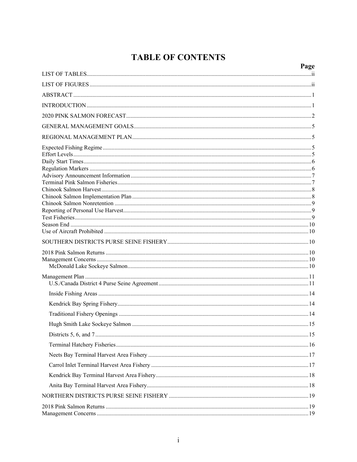# **TABLE OF CONTENTS**

| Page |
|------|
|      |
|      |
|      |
|      |
|      |
|      |
|      |
|      |
|      |
|      |
|      |
|      |
|      |
|      |
|      |
|      |
|      |
|      |
|      |
|      |
|      |
|      |
|      |
|      |
|      |
|      |
|      |
|      |
|      |
|      |
|      |
|      |
|      |
|      |
|      |
|      |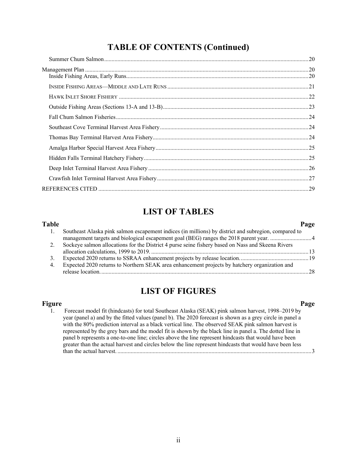# **LIST OF TABLES**

<span id="page-5-0"></span>

| Table |                                                                                                      | Page            |
|-------|------------------------------------------------------------------------------------------------------|-----------------|
|       | Southeast Alaska pink salmon escapement indices (in millions) by district and subregion, compared to |                 |
|       |                                                                                                      |                 |
|       | Sockeye salmon allocations for the District 4 purse seine fishery based on Nass and Skeena Rivers    |                 |
|       |                                                                                                      | $\overline{13}$ |
| 3.    |                                                                                                      |                 |
| 4.    | Expected 2020 returns to Northern SEAK area enhancement projects by hatchery organization and        |                 |
|       |                                                                                                      | 28              |

# **LIST OF FIGURES**

<span id="page-5-1"></span>**Figure Page** 1. [Forecast model fit \(hindcasts\) for total Southeast Alaska \(SEAK\) pink salmon harvest, 1998–2019 by](#page-8-0)  [year \(panel a\) and by the fitted values \(panel b\). The 2020 forecast is shown as a grey circle in panel a](#page-8-0)  [with the 80% prediction interval as a black vertical line. The observed SEAK pink salmon harvest is](#page-8-0)  [represented by the grey bars and the model fit is shown](#page-8-0) by the black line in panel a. The dotted line in [panel b represents a one-to-one line; circles above the line represent hindcasts that would have been](#page-8-0)  [greater than the actual harvest and circles below the line represent hindcasts that would](#page-8-0) have been less than the actual harvest. [....................................................................................................................................3](#page-8-0)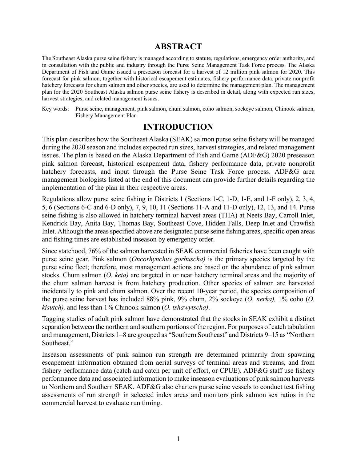# **ABSTRACT**

<span id="page-6-0"></span>The Southeast Alaska purse seine fishery is managed according to statute, regulations, emergency order authority, and in consultation with the public and industry through the Purse Seine Management Task Force process. The Alaska Department of Fish and Game issued a preseason forecast for a harvest of 12 million pink salmon for 2020. This forecast for pink salmon, together with historical escapement estimates, fishery performance data, private nonprofit hatchery forecasts for chum salmon and other species, are used to determine the management plan. The management plan for the 2020 Southeast Alaska salmon purse seine fishery is described in detail, along with expected run sizes, harvest strategies, and related management issues.

Key words: Purse seine, management, pink salmon, chum salmon, coho salmon, sockeye salmon, Chinook salmon, Fishery Management Plan

# **INTRODUCTION**

<span id="page-6-1"></span>This plan describes how the Southeast Alaska (SEAK) salmon purse seine fishery will be managed during the 2020 season and includes expected run sizes, harvest strategies, and related management issues. The plan is based on the Alaska Department of Fish and Game (ADF&G) 2020 preseason pink salmon forecast, historical escapement data, fishery performance data, private nonprofit hatchery forecasts, and input through the Purse Seine Task Force process. ADF&G area management biologists listed at the end of this document can provide further details regarding the implementation of the plan in their respective areas.

Regulations allow purse seine fishing in Districts 1 (Sections 1-C, 1-D, 1-E, and 1-F only), 2, 3, 4, 5, 6 (Sections 6-C and 6-D only), 7, 9, 10, 11 (Sections 11-A and 11-D only), 12, 13, and 14. Purse seine fishing is also allowed in hatchery terminal harvest areas (THA) at Neets Bay, Carroll Inlet, Kendrick Bay, Anita Bay, Thomas Bay, Southeast Cove, Hidden Falls, Deep Inlet and Crawfish Inlet. Although the areas specified above are designated purse seine fishing areas, specific open areas and fishing times are established inseason by emergency order.

Since statehood, 76% of the salmon harvested in SEAK commercial fisheries have been caught with purse seine gear. Pink salmon (*Oncorhynchus gorbuscha)* is the primary species targeted by the purse seine fleet; therefore, most management actions are based on the abundance of pink salmon stocks. Chum salmon (*O. keta)* are targeted in or near hatchery terminal areas and the majority of the chum salmon harvest is from hatchery production. Other species of salmon are harvested incidentally to pink and chum salmon. Over the recent 10-year period, the species composition of the purse seine harvest has included 88% pink, 9% chum, 2% sockeye (*O. nerka),* 1% coho (*O. kisutch),* and less than 1% Chinook salmon (*O. tshawytscha)*.

Tagging studies of adult pink salmon have demonstrated that the stocks in SEAK exhibit a distinct separation between the northern and southern portions of the region. For purposes of catch tabulation and management, Districts 1–8 are grouped as "Southern Southeast" and Districts 9–15 as "Northern Southeast."

Inseason assessments of pink salmon run strength are determined primarily from spawning escapement information obtained from aerial surveys of terminal areas and streams, and from fishery performance data (catch and catch per unit of effort, or CPUE). ADF&G staff use fishery performance data and associated information to make inseason evaluations of pink salmon harvests to Northern and Southern SEAK. ADF&G also charters purse seine vessels to conduct test fishing assessments of run strength in selected index areas and monitors pink salmon sex ratios in the commercial harvest to evaluate run timing.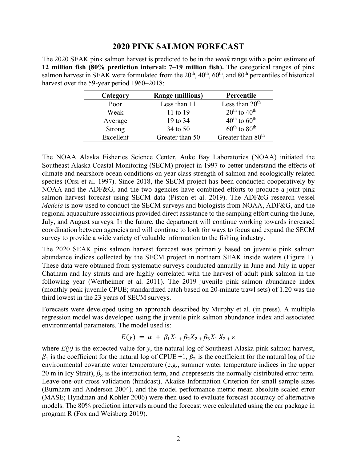#### **2020 PINK SALMON FORECAST**

<span id="page-7-0"></span>The 2020 SEAK pink salmon harvest is predicted to be in the *weak* range with a point estimate of **12 million fish (80% prediction interval: 7–19 million fish).** The categorical ranges of pink salmon harvest in SEAK were formulated from the  $20^{th}$ ,  $40^{th}$ ,  $60^{th}$ , and  $80^{th}$  percentiles of historical harvest over the 59-year period 1960–2018:

| Category      | <b>Range (millions)</b> | Percentile                           |
|---------------|-------------------------|--------------------------------------|
| Poor          | Less than 11            | Less than $20th$                     |
| Weak          | 11 to $19$              | $20^{th}$ to $40^{th}$               |
| Average       | 19 to 34                | $40^{\text{th}}$ to $60^{\text{th}}$ |
| <b>Strong</b> | 34 to 50                | $60^{\text{th}}$ to $80^{\text{th}}$ |
| Excellent     | Greater than 50         | Greater than 80 <sup>th</sup>        |

The NOAA Alaska Fisheries Science Center, Auke Bay Laboratories (NOAA) initiated the Southeast Alaska Coastal Monitoring (SECM) project in 1997 to better understand the effects of climate and nearshore ocean conditions on year class strength of salmon and ecologically related species (Orsi et al. 1997). Since 2018, the SECM project has been conducted cooperatively by NOAA and the ADF&G, and the two agencies have combined efforts to produce a joint pink salmon harvest forecast using SECM data (Piston et al. 2019). The ADF&G research vessel *Medeia* is now used to conduct the SECM surveys and biologists from NOAA, ADF&G, and the regional aquaculture associations provided direct assistance to the sampling effort during the June, July, and August surveys. In the future, the department will continue working towards increased coordination between agencies and will continue to look for ways to focus and expand the SECM survey to provide a wide variety of valuable information to the fishing industry.

The 2020 SEAK pink salmon harvest forecast was primarily based on juvenile pink salmon abundance indices collected by the SECM project in northern SEAK inside waters (Figure 1). These data were obtained from systematic surveys conducted annually in June and July in upper Chatham and Icy straits and are highly correlated with the harvest of adult pink salmon in the following year (Wertheimer et al. 2011). The 2019 juvenile pink salmon abundance index (monthly peak juvenile CPUE; standardized catch based on 20-minute trawl sets) of 1.20 was the third lowest in the 23 years of SECM surveys.

Forecasts were developed using an approach described by Murphy et al. (in press). A multiple regression model was developed using the juvenile pink salmon abundance index and associated environmental parameters. The model used is:

$$
E(y) = \alpha + \beta_1 X_{1} + \beta_2 X_{2} + \beta_3 X_{1} X_{2} + \varepsilon
$$

where *E(y)* is the expected value for *y*, the natural log of Southeast Alaska pink salmon harvest,  $\beta_1$  is the coefficient for the natural log of CPUE +1,  $\beta_2$  is the coefficient for the natural log of the environmental covariate water temperature (e.g., summer water temperature indices in the upper 20 m in Icy Strait),  $\beta_3$  is the interaction term, and  $\varepsilon$  represents the normally distributed error term. Leave-one-out cross validation (hindcast), Akaike Information Criterion for small sample sizes (Burnham and Anderson 2004), and the model performance metric mean absolute scaled error (MASE; Hyndman and Kohler 2006) were then used to evaluate forecast accuracy of alternative models. The 80% prediction intervals around the forecast were calculated using the car package in program R (Fox and Weisberg 2019).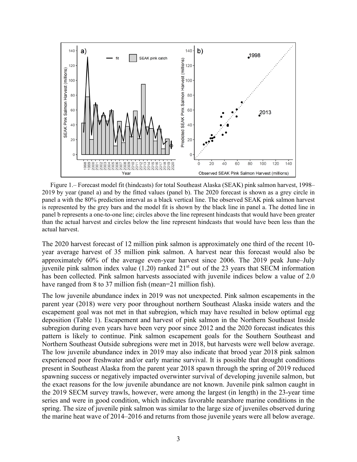

<span id="page-8-0"></span>Figure 1.– Forecast model fit (hindcasts) for total Southeast Alaska (SEAK) pink salmon harvest, 1998– 2019 by year (panel a) and by the fitted values (panel b). The 2020 forecast is shown as a grey circle in panel a with the 80% prediction interval as a black vertical line. The observed SEAK pink salmon harvest is represented by the grey bars and the model fit is shown by the black line in panel a. The dotted line in panel b represents a one-to-one line; circles above the line represent hindcasts that would have been greater than the actual harvest and circles below the line represent hindcasts that would have been less than the actual harvest.

The 2020 harvest forecast of 12 million pink salmon is approximately one third of the recent 10 year average harvest of 35 million pink salmon. A harvest near this forecast would also be approximately 60% of the average even-year harvest since 2006. The 2019 peak June–July juvenile pink salmon index value  $(1.20)$  ranked  $21<sup>st</sup>$  out of the 23 years that SECM information has been collected. Pink salmon harvests associated with juvenile indices below a value of 2.0 have ranged from 8 to 37 million fish (mean=21 million fish).

The low juvenile abundance index in 2019 was not unexpected. Pink salmon escapements in the parent year (2018) were very poor throughout northern Southeast Alaska inside waters and the escapement goal was not met in that subregion, which may have resulted in below optimal egg deposition (Table 1). Escapement and harvest of pink salmon in the Northern Southeast Inside subregion during even years have been very poor since 2012 and the 2020 forecast indicates this pattern is likely to continue. Pink salmon escapement goals for the Southern Southeast and Northern Southeast Outside subregions were met in 2018, but harvests were well below average. The low juvenile abundance index in 2019 may also indicate that brood year 2018 pink salmon experienced poor freshwater and/or early marine survival. It is possible that drought conditions present in Southeast Alaska from the parent year 2018 spawn through the spring of 2019 reduced spawning success or negatively impacted overwinter survival of developing juvenile salmon, but the exact reasons for the low juvenile abundance are not known. Juvenile pink salmon caught in the 2019 SECM survey trawls, however, were among the largest (in length) in the 23-year time series and were in good condition, which indicates favorable nearshore marine conditions in the spring. The size of juvenile pink salmon was similar to the large size of juveniles observed during the marine heat wave of 2014–2016 and returns from those juvenile years were all below average.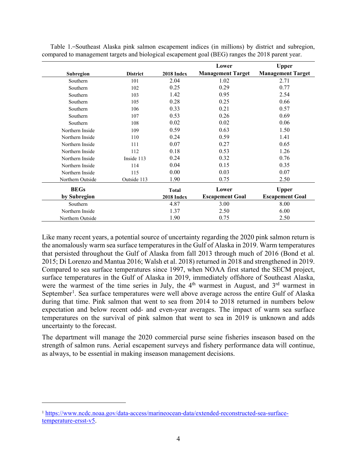|                  |                 |              | Lower                    | <b>Upper</b>             |
|------------------|-----------------|--------------|--------------------------|--------------------------|
| <b>Subregion</b> | <b>District</b> | 2018 Index   | <b>Management Target</b> | <b>Management Target</b> |
| Southern         | 101             | 2.04         | 1.02                     | 2.71                     |
| Southern         | 102             | 0.25         | 0.29                     | 0.77                     |
| Southern         | 103             | 1.42         | 0.95                     | 2.54                     |
| Southern         | 105             | 0.28         | 0.25                     | 0.66                     |
| Southern         | 106             | 0.33         | 0.21                     | 0.57                     |
| Southern         | 107             | 0.53         | 0.26                     | 0.69                     |
| Southern         | 108             | 0.02         | 0.02                     | 0.06                     |
| Northern Inside  | 109             | 0.59         | 0.63                     | 1.50                     |
| Northern Inside  | 110             | 0.24         | 0.59                     | 1.41                     |
| Northern Inside  | 111             | 0.07         | 0.27                     | 0.65                     |
| Northern Inside  | 112             | 0.18         | 0.53                     | 1.26                     |
| Northern Inside  | Inside 113      | 0.24         | 0.32                     | 0.76                     |
| Northern Inside  | 114             | 0.04         | 0.15                     | 0.35                     |
| Northern Inside  | 115             | 0.00         | 0.03                     | 0.07                     |
| Northern Outside | Outside 113     | 1.90         | 0.75                     | 2.50                     |
| <b>BEGs</b>      |                 | <b>Total</b> | Lower                    | <b>Upper</b>             |
| by Subregion     |                 | 2018 Index   | <b>Escapement Goal</b>   | <b>Escapement Goal</b>   |
| Southern         |                 | 4.87         | 3.00                     | 8.00                     |
| Northern Inside  |                 | 1.37         | 2.50                     | 6.00                     |
| Northern Outside |                 | 1.90         | 0.75                     | 2.50                     |

<span id="page-9-0"></span>Table 1.–Southeast Alaska pink salmon escapement indices (in millions) by district and subregion, compared to management targets and biological escapement goal (BEG) ranges the 2018 parent year.

Like many recent years, a potential source of uncertainty regarding the 2020 pink salmon return is the anomalously warm sea surface temperatures in the Gulf of Alaska in 2019. Warm temperatures that persisted throughout the Gulf of Alaska from fall 2013 through much of 2016 (Bond et al. 2015; Di Lorenzo and Mantua 2016; Walsh et al. 2018) returned in 2018 and strengthened in 2019. Compared to sea surface temperatures since 1997, when NOAA first started the SECM project, surface temperatures in the Gulf of Alaska in 2019, immediately offshore of Southeast Alaska, were the warmest of the time series in July, the 4<sup>th</sup> warmest in August, and 3<sup>rd</sup> warmest in September<sup>[1](#page-9-1)</sup>. Sea surface temperatures were well above average across the entire Gulf of Alaska during that time. Pink salmon that went to sea from 2014 to 2018 returned in numbers below expectation and below recent odd- and even-year averages. The impact of warm sea surface temperatures on the survival of pink salmon that went to sea in 2019 is unknown and adds uncertainty to the forecast.

The department will manage the 2020 commercial purse seine fisheries inseason based on the strength of salmon runs. Aerial escapement surveys and fishery performance data will continue, as always, to be essential in making inseason management decisions.

<span id="page-9-1"></span><sup>1</sup> [https://www.ncdc.noaa.gov/data-access/marineocean-data/extended-reconstructed-sea-surface](https://www.ncdc.noaa.gov/data-access/marineocean-data/extended-reconstructed-sea-surface-temperature-ersst-v5)[temperature-ersst-v5.](https://www.ncdc.noaa.gov/data-access/marineocean-data/extended-reconstructed-sea-surface-temperature-ersst-v5)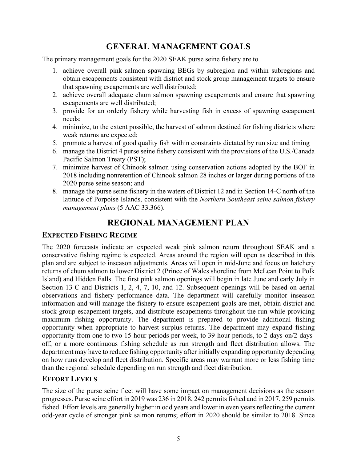# **GENERAL MANAGEMENT GOALS**

<span id="page-10-0"></span>The primary management goals for the 2020 SEAK purse seine fishery are to

- 1. achieve overall pink salmon spawning BEGs by subregion and within subregions and obtain escapements consistent with district and stock group management targets to ensure that spawning escapements are well distributed;
- 2. achieve overall adequate chum salmon spawning escapements and ensure that spawning escapements are well distributed;
- 3. provide for an orderly fishery while harvesting fish in excess of spawning escapement needs;
- 4. minimize, to the extent possible, the harvest of salmon destined for fishing districts where weak returns are expected;
- 5. promote a harvest of good quality fish within constraints dictated by run size and timing
- 6. manage the District 4 purse seine fishery consistent with the provisions of the U.S./Canada Pacific Salmon Treaty (PST);
- 7. minimize harvest of Chinook salmon using conservation actions adopted by the BOF in 2018 including nonretention of Chinook salmon 28 inches or larger during portions of the 2020 purse seine season; and
- 8. manage the purse seine fishery in the waters of District 12 and in Section 14-C north of the latitude of Porpoise Islands, consistent with the *Northern Southeast seine salmon fishery management plans* (5 AAC 33.366).

# **REGIONAL MANAGEMENT PLAN**

# <span id="page-10-2"></span><span id="page-10-1"></span>**EXPECTED FISHING REGIME**

The 2020 forecasts indicate an expected weak pink salmon return throughout SEAK and a conservative fishing regime is expected. Areas around the region will open as described in this plan and are subject to inseason adjustments. Areas will open in mid-June and focus on hatchery returns of chum salmon to lower District 2 (Prince of Wales shoreline from McLean Point to Polk Island) and Hidden Falls. The first pink salmon openings will begin in late June and early July in Section 13-C and Districts 1, 2, 4, 7, 10, and 12. Subsequent openings will be based on aerial observations and fishery performance data. The department will carefully monitor inseason information and will manage the fishery to ensure escapement goals are met, obtain district and stock group escapement targets, and distribute escapements throughout the run while providing maximum fishing opportunity. The department is prepared to provide additional fishing opportunity when appropriate to harvest surplus returns. The department may expand fishing opportunity from one to two 15-hour periods per week, to 39-hour periods, to 2-days-on/2-daysoff, or a more continuous fishing schedule as run strength and fleet distribution allows. The department may have to reduce fishing opportunity after initially expanding opportunity depending on how runs develop and fleet distribution. Specific areas may warrant more or less fishing time than the regional schedule depending on run strength and fleet distribution.

# <span id="page-10-3"></span>**EFFORT LEVELS**

The size of the purse seine fleet will have some impact on management decisions as the season progresses. Purse seine effort in 2019 was 236 in 2018, 242 permits fished and in 2017, 259 permits fished. Effort levels are generally higher in odd years and lower in even years reflecting the current odd-year cycle of stronger pink salmon returns; effort in 2020 should be similar to 2018. Since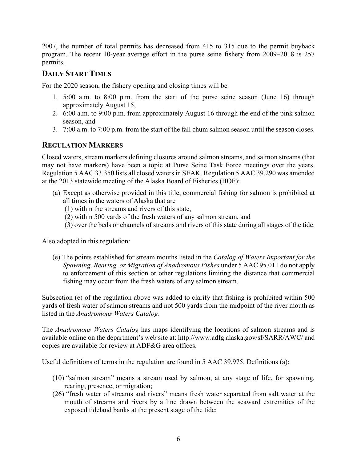2007, the number of total permits has decreased from 415 to 315 due to the permit buyback program. The recent 10-year average effort in the purse seine fishery from 2009–2018 is 257 permits.

#### <span id="page-11-0"></span>**DAILY START TIMES**

For the 2020 season, the fishery opening and closing times will be

- 1. 5:00 a.m. to 8:00 p.m. from the start of the purse seine season (June 16) through approximately August 15,
- 2. 6:00 a.m. to 9:00 p.m. from approximately August 16 through the end of the pink salmon season, and
- 3. 7:00 a.m. to 7:00 p.m. from the start of the fall chum salmon season until the season closes.

#### <span id="page-11-1"></span>**REGULATION MARKERS**

Closed waters, stream markers defining closures around salmon streams, and salmon streams (that may not have markers) have been a topic at Purse Seine Task Force meetings over the years. Regulation 5 AAC 33.350 lists all closed waters in SEAK. Regulation 5 AAC 39.290 was amended at the 2013 statewide meeting of the Alaska Board of Fisheries (BOF):

- (a) Except as otherwise provided in this title, commercial fishing for salmon is prohibited at all times in the waters of Alaska that are
	- (1) within the streams and rivers of this state,
	- (2) within 500 yards of the fresh waters of any salmon stream, and
	- (3) over the beds or channels of streams and rivers of this state during all stages of the tide.

Also adopted in this regulation:

(e) The points established for stream mouths listed in the *Catalog of Waters Important for the Spawning, Rearing, or Migration of Anadromous Fishes* under 5 AAC 95.011 do not apply to enforcement of this section or other regulations limiting the distance that commercial fishing may occur from the fresh waters of any salmon stream.

Subsection (e) of the regulation above was added to clarify that fishing is prohibited within 500 yards of fresh water of salmon streams and not 500 yards from the midpoint of the river mouth as listed in the *Anadromous Waters Catalog*.

The *Anadromous Waters Catalog* has maps identifying the locations of salmon streams and is available online on the department's web site at:<http://www.adfg.alaska.gov/sf/SARR/AWC/> and copies are available for review at ADF&G area offices.

Useful definitions of terms in the regulation are found in 5 AAC 39.975. Definitions (a):

- (10) "salmon stream" means a stream used by salmon, at any stage of life, for spawning, rearing, presence, or migration;
- (26) "fresh water of streams and rivers" means fresh water separated from salt water at the mouth of streams and rivers by a line drawn between the seaward extremities of the exposed tideland banks at the present stage of the tide;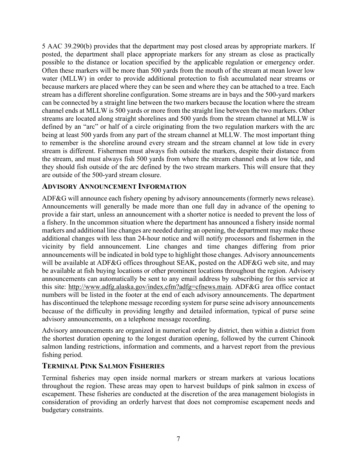5 AAC 39.290(b) provides that the department may post closed areas by appropriate markers. If posted, the department shall place appropriate markers for any stream as close as practically possible to the distance or location specified by the applicable regulation or emergency order. Often these markers will be more than 500 yards from the mouth of the stream at mean lower low water (MLLW) in order to provide additional protection to fish accumulated near streams or because markers are placed where they can be seen and where they can be attached to a tree. Each stream has a different shoreline configuration. Some streams are in bays and the 500-yard markers can be connected by a straight line between the two markers because the location where the stream channel ends at MLLW is 500 yards or more from the straight line between the two markers. Other streams are located along straight shorelines and 500 yards from the stream channel at MLLW is defined by an "arc" or half of a circle originating from the two regulation markers with the arc being at least 500 yards from any part of the stream channel at MLLW. The most important thing to remember is the shoreline around every stream and the stream channel at low tide in every stream is different. Fishermen must always fish outside the markers, despite their distance from the stream, and must always fish 500 yards from where the stream channel ends at low tide, and they should fish outside of the arc defined by the two stream markers. This will ensure that they are outside of the 500-yard stream closure.

#### <span id="page-12-0"></span>**ADVISORY ANNOUNCEMENT INFORMATION**

ADF&G will announce each fishery opening by advisory announcements (formerly news release). Announcements will generally be made more than one full day in advance of the opening to provide a fair start, unless an announcement with a shorter notice is needed to prevent the loss of a fishery. In the uncommon situation where the department has announced a fishery inside normal markers and additional line changes are needed during an opening, the department may make those additional changes with less than 24-hour notice and will notify processors and fishermen in the vicinity by field announcement. Line changes and time changes differing from prior announcements will be indicated in bold type to highlight those changes. Advisory announcements will be available at ADF&G offices throughout SEAK, posted on the ADF&G web site, and may be available at fish buying locations or other prominent locations throughout the region. Advisory announcements can automatically be sent to any email address by subscribing for this service at this site: [http://www.adfg.alaska.gov/index.cfm?adfg=cfnews.main.](http://www.adfg.alaska.gov/index.cfm?adfg=cfnews.main) ADF&G area office contact numbers will be listed in the footer at the end of each advisory announcements. The department has discontinued the telephone message recording system for purse seine advisory announcements because of the difficulty in providing lengthy and detailed information, typical of purse seine advisory announcements, on a telephone message recording.

Advisory announcements are organized in numerical order by district, then within a district from the shortest duration opening to the longest duration opening, followed by the current Chinook salmon landing restrictions, information and comments, and a harvest report from the previous fishing period.

#### <span id="page-12-1"></span>**TERMINAL PINK SALMON FISHERIES**

Terminal fisheries may open inside normal markers or stream markers at various locations throughout the region. These areas may open to harvest buildups of pink salmon in excess of escapement. These fisheries are conducted at the discretion of the area management biologists in consideration of providing an orderly harvest that does not compromise escapement needs and budgetary constraints.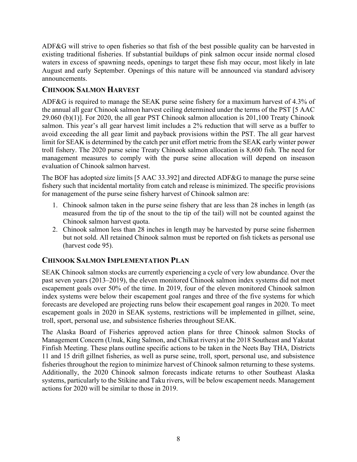ADF&G will strive to open fisheries so that fish of the best possible quality can be harvested in existing traditional fisheries. If substantial buildups of pink salmon occur inside normal closed waters in excess of spawning needs, openings to target these fish may occur, most likely in late August and early September. Openings of this nature will be announced via standard advisory announcements.

#### <span id="page-13-0"></span>**CHINOOK SALMON HARVEST**

ADF&G is required to manage the SEAK purse seine fishery for a maximum harvest of 4.3% of the annual all gear Chinook salmon harvest ceiling determined under the terms of the PST [5 AAC 29.060 (b)(1)]. For 2020, the all gear PST Chinook salmon allocation is 201,100 Treaty Chinook salmon. This year's all gear harvest limit includes a 2% reduction that will serve as a buffer to avoid exceeding the all gear limit and payback provisions within the PST. The all gear harvest limit for SEAK is determined by the catch per unit effort metric from the SEAK early winter power troll fishery. The 2020 purse seine Treaty Chinook salmon allocation is 8,600 fish. The need for management measures to comply with the purse seine allocation will depend on inseason evaluation of Chinook salmon harvest.

The BOF has adopted size limits [5 AAC 33.392] and directed ADF&G to manage the purse seine fishery such that incidental mortality from catch and release is minimized. The specific provisions for management of the purse seine fishery harvest of Chinook salmon are:

- 1. Chinook salmon taken in the purse seine fishery that are less than 28 inches in length (as measured from the tip of the snout to the tip of the tail) will not be counted against the Chinook salmon harvest quota.
- 2. Chinook salmon less than 28 inches in length may be harvested by purse seine fishermen but not sold. All retained Chinook salmon must be reported on fish tickets as personal use (harvest code 95).

# <span id="page-13-1"></span>**CHINOOK SALMON IMPLEMENTATION PLAN**

SEAK Chinook salmon stocks are currently experiencing a cycle of very low abundance. Over the past seven years (2013–2019), the eleven monitored Chinook salmon index systems did not meet escapement goals over 50% of the time. In 2019, four of the eleven monitored Chinook salmon index systems were below their escapement goal ranges and three of the five systems for which forecasts are developed are projecting runs below their escapement goal ranges in 2020. To meet escapement goals in 2020 in SEAK systems, restrictions will be implemented in gillnet, seine, troll, sport, personal use, and subsistence fisheries throughout SEAK.

The Alaska Board of Fisheries approved action plans for three Chinook salmon Stocks of Management Concern (Unuk, King Salmon, and Chilkat rivers) at the 2018 Southeast and Yakutat Finfish Meeting. These plans outline specific actions to be taken in the Neets Bay THA, Districts 11 and 15 drift gillnet fisheries, as well as purse seine, troll, sport, personal use, and subsistence fisheries throughout the region to minimize harvest of Chinook salmon returning to these systems. Additionally, the 2020 Chinook salmon forecasts indicate returns to other Southeast Alaska systems, particularly to the Stikine and Taku rivers, will be below escapement needs. Management actions for 2020 will be similar to those in 2019.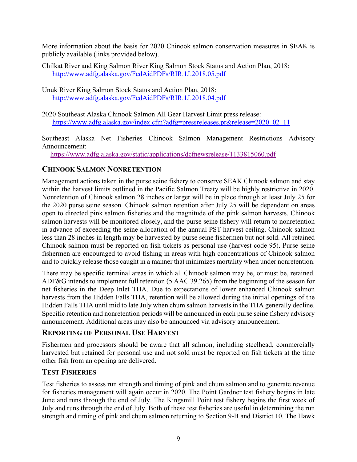More information about the basis for 2020 Chinook salmon conservation measures in SEAK is publicly available (links provided below).

- Chilkat River and King Salmon River King Salmon Stock Status and Action Plan, 2018: <http://www.adfg.alaska.gov/FedAidPDFs/RIR.1J.2018.05.pdf>
- Unuk River King Salmon Stock Status and Action Plan, 2018: <http://www.adfg.alaska.gov/FedAidPDFs/RIR.1J.2018.04.pdf>
- 2020 Southeast Alaska Chinook Salmon All Gear Harvest Limit press release: [https://www.adfg.alaska.gov/index.cfm?adfg=pressreleases.pr&release=2020\\_02\\_11](https://www.adfg.alaska.gov/index.cfm?adfg=pressreleases.pr&release=2020_02_11)

Southeast Alaska Net Fisheries Chinook Salmon Management Restrictions Advisory Announcement:

<https://www.adfg.alaska.gov/static/applications/dcfnewsrelease/1133815060.pdf>

#### <span id="page-14-0"></span>**CHINOOK SALMON NONRETENTION**

Management actions taken in the purse seine fishery to conserve SEAK Chinook salmon and stay within the harvest limits outlined in the Pacific Salmon Treaty will be highly restrictive in 2020. Nonretention of Chinook salmon 28 inches or larger will be in place through at least July 25 for the 2020 purse seine season. Chinook salmon retention after July 25 will be dependent on areas open to directed pink salmon fisheries and the magnitude of the pink salmon harvests. Chinook salmon harvests will be monitored closely, and the purse seine fishery will return to nonretention in advance of exceeding the seine allocation of the annual PST harvest ceiling. Chinook salmon less than 28 inches in length may be harvested by purse seine fishermen but not sold. All retained Chinook salmon must be reported on fish tickets as personal use (harvest code 95). Purse seine fishermen are encouraged to avoid fishing in areas with high concentrations of Chinook salmon and to quickly release those caught in a manner that minimizes mortality when under nonretention.

There may be specific terminal areas in which all Chinook salmon may be, or must be, retained. ADF&G intends to implement full retention (5 AAC 39.265) from the beginning of the season for net fisheries in the Deep Inlet THA. Due to expectations of lower enhanced Chinook salmon harvests from the Hidden Falls THA, retention will be allowed during the initial openings of the Hidden Falls THA until mid to late July when chum salmon harvests in the THA generally decline. Specific retention and nonretention periods will be announced in each purse seine fishery advisory announcement. Additional areas may also be announced via advisory announcement.

#### <span id="page-14-1"></span>**REPORTING OF PERSONAL USE HARVEST**

Fishermen and processors should be aware that all salmon, including steelhead, commercially harvested but retained for personal use and not sold must be reported on fish tickets at the time other fish from an opening are delivered.

#### <span id="page-14-2"></span>**TEST FISHERIES**

Test fisheries to assess run strength and timing of pink and chum salmon and to generate revenue for fisheries management will again occur in 2020. The Point Gardner test fishery begins in late June and runs through the end of July. The Kingsmill Point test fishery begins the first week of July and runs through the end of July. Both of these test fisheries are useful in determining the run strength and timing of pink and chum salmon returning to Section 9-B and District 10. The Hawk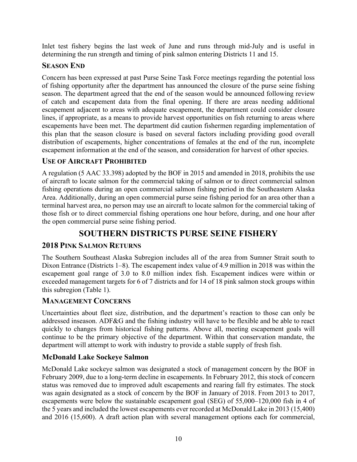Inlet test fishery begins the last week of June and runs through mid-July and is useful in determining the run strength and timing of pink salmon entering Districts 11 and 15.

#### <span id="page-15-0"></span>**SEASON END**

Concern has been expressed at past Purse Seine Task Force meetings regarding the potential loss of fishing opportunity after the department has announced the closure of the purse seine fishing season. The department agreed that the end of the season would be announced following review of catch and escapement data from the final opening. If there are areas needing additional escapement adjacent to areas with adequate escapement, the department could consider closure lines, if appropriate, as a means to provide harvest opportunities on fish returning to areas where escapements have been met. The department did caution fishermen regarding implementation of this plan that the season closure is based on several factors including providing good overall distribution of escapements, higher concentrations of females at the end of the run, incomplete escapement information at the end of the season, and consideration for harvest of other species.

# <span id="page-15-1"></span>**USE OF AIRCRAFT PROHIBITED**

A regulation (5 AAC 33.398) adopted by the BOF in 2015 and amended in 2018, prohibits the use of aircraft to locate salmon for the commercial taking of salmon or to direct commercial salmon fishing operations during an open commercial salmon fishing period in the Southeastern Alaska Area. Additionally, during an open commercial purse seine fishing period for an area other than a terminal harvest area, no person may use an aircraft to locate salmon for the commercial taking of those fish or to direct commercial fishing operations one hour before, during, and one hour after the open commercial purse seine fishing period.

# **SOUTHERN DISTRICTS PURSE SEINE FISHERY**

# <span id="page-15-3"></span><span id="page-15-2"></span>**2018 PINK SALMON RETURNS**

The Southern Southeast Alaska Subregion includes all of the area from Sumner Strait south to Dixon Entrance (Districts 1–8). The escapement index value of 4.9 million in 2018 was within the escapement goal range of 3.0 to 8.0 million index fish. Escapement indices were within or exceeded management targets for 6 of 7 districts and for 14 of 18 pink salmon stock groups within this subregion (Table 1).

# <span id="page-15-4"></span>**MANAGEMENT CONCERNS**

Uncertainties about fleet size, distribution, and the department's reaction to those can only be addressed inseason. ADF&G and the fishing industry will have to be flexible and be able to react quickly to changes from historical fishing patterns. Above all, meeting escapement goals will continue to be the primary objective of the department. Within that conservation mandate, the department will attempt to work with industry to provide a stable supply of fresh fish.

# <span id="page-15-5"></span>**McDonald Lake Sockeye Salmon**

McDonald Lake sockeye salmon was designated a stock of management concern by the BOF in February 2009, due to a long-term decline in escapements. In February 2012, this stock of concern status was removed due to improved adult escapements and rearing fall fry estimates. The stock was again designated as a stock of concern by the BOF in January of 2018. From 2013 to 2017, escapements were below the sustainable escapement goal (SEG) of 55,000–120,000 fish in 4 of the 5 years and included the lowest escapements ever recorded at McDonald Lake in 2013 (15,400) and 2016 (15,600). A draft action plan with several management options each for commercial,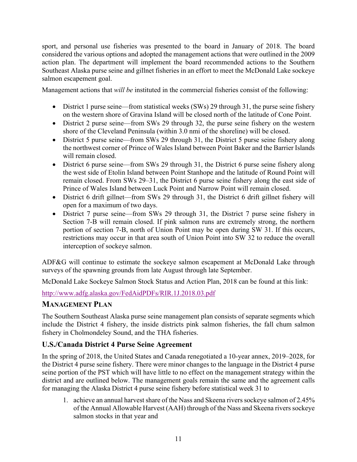sport, and personal use fisheries was presented to the board in January of 2018. The board considered the various options and adopted the management actions that were outlined in the 2009 action plan. The department will implement the board recommended actions to the Southern Southeast Alaska purse seine and gillnet fisheries in an effort to meet the McDonald Lake sockeye salmon escapement goal.

Management actions that *will be* instituted in the commercial fisheries consist of the following:

- District 1 purse seine—from statistical weeks (SWs) 29 through 31, the purse seine fishery on the western shore of Gravina Island will be closed north of the latitude of Cone Point.
- District 2 purse seine—from SWs 29 through 32, the purse seine fishery on the western shore of the Cleveland Peninsula (within 3.0 nmi of the shoreline) will be closed.
- District 5 purse seine—from SWs 29 through 31, the District 5 purse seine fishery along the northwest corner of Prince of Wales Island between Point Baker and the Barrier Islands will remain closed.
- District 6 purse seine—from SWs 29 through 31, the District 6 purse seine fishery along the west side of Etolin Island between Point Stanhope and the latitude of Round Point will remain closed. From SWs 29–31, the District 6 purse seine fishery along the east side of Prince of Wales Island between Luck Point and Narrow Point will remain closed.
- District 6 drift gillnet—from SWs 29 through 31, the District 6 drift gillnet fishery will open for a maximum of two days.
- District 7 purse seine—from SWs 29 through 31, the District 7 purse seine fishery in Section 7-B will remain closed. If pink salmon runs are extremely strong, the northern portion of section 7-B, north of Union Point may be open during SW 31. If this occurs, restrictions may occur in that area south of Union Point into SW 32 to reduce the overall interception of sockeye salmon.

ADF&G will continue to estimate the sockeye salmon escapement at McDonald Lake through surveys of the spawning grounds from late August through late September.

McDonald Lake Sockeye Salmon Stock Status and Action Plan, 2018 can be found at this link:

<http://www.adfg.alaska.gov/FedAidPDFs/RIR.1J.2018.03.pdf>

# <span id="page-16-0"></span>**MANAGEMENT PLAN**

The Southern Southeast Alaska purse seine management plan consists of separate segments which include the District 4 fishery, the inside districts pink salmon fisheries, the fall chum salmon fishery in Cholmondeley Sound, and the THA fisheries.

#### <span id="page-16-1"></span>**U.S./Canada District 4 Purse Seine Agreement**

In the spring of 2018, the United States and Canada renegotiated a 10-year annex, 2019–2028, for the District 4 purse seine fishery. There were minor changes to the language in the District 4 purse seine portion of the PST which will have little to no effect on the management strategy within the district and are outlined below. The management goals remain the same and the agreement calls for managing the Alaska District 4 purse seine fishery before statistical week 31 to

1. achieve an annual harvest share of the Nass and Skeena rivers sockeye salmon of 2.45% of the Annual Allowable Harvest (AAH) through of the Nass and Skeena rivers sockeye salmon stocks in that year and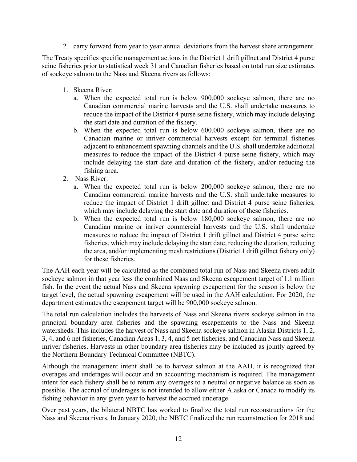2. carry forward from year to year annual deviations from the harvest share arrangement.

The Treaty specifies specific management actions in the District 1 drift gillnet and District 4 purse seine fisheries prior to statistical week 31 and Canadian fisheries based on total run size estimates of sockeye salmon to the Nass and Skeena rivers as follows:

- 1. Skeena River:
	- a. When the expected total run is below 900,000 sockeye salmon, there are no Canadian commercial marine harvests and the U.S. shall undertake measures to reduce the impact of the District 4 purse seine fishery, which may include delaying the start date and duration of the fishery.
	- b. When the expected total run is below 600,000 sockeye salmon, there are no Canadian marine or inriver commercial harvests except for terminal fisheries adjacent to enhancement spawning channels and the U.S. shall undertake additional measures to reduce the impact of the District 4 purse seine fishery, which may include delaying the start date and duration of the fishery, and/or reducing the fishing area.
- 2. Nass River:
	- a. When the expected total run is below 200,000 sockeye salmon, there are no Canadian commercial marine harvests and the U.S. shall undertake measures to reduce the impact of District 1 drift gillnet and District 4 purse seine fisheries, which may include delaying the start date and duration of these fisheries.
	- b. When the expected total run is below 180,000 sockeye salmon, there are no Canadian marine or inriver commercial harvests and the U.S. shall undertake measures to reduce the impact of District 1 drift gillnet and District 4 purse seine fisheries, which may include delaying the start date, reducing the duration, reducing the area, and/or implementing mesh restrictions (District 1 drift gillnet fishery only) for these fisheries.

The AAH each year will be calculated as the combined total run of Nass and Skeena rivers adult sockeye salmon in that year less the combined Nass and Skeena escapement target of 1.1 million fish. In the event the actual Nass and Skeena spawning escapement for the season is below the target level, the actual spawning escapement will be used in the AAH calculation. For 2020, the department estimates the escapement target will be 900,000 sockeye salmon.

The total run calculation includes the harvests of Nass and Skeena rivers sockeye salmon in the principal boundary area fisheries and the spawning escapements to the Nass and Skeena watersheds. This includes the harvest of Nass and Skeena sockeye salmon in Alaska Districts 1, 2, 3, 4, and 6 net fisheries, Canadian Areas 1, 3, 4, and 5 net fisheries, and Canadian Nass and Skeena inriver fisheries. Harvests in other boundary area fisheries may be included as jointly agreed by the Northern Boundary Technical Committee (NBTC).

Although the management intent shall be to harvest salmon at the AAH, it is recognized that overages and underages will occur and an accounting mechanism is required. The management intent for each fishery shall be to return any overages to a neutral or negative balance as soon as possible. The accrual of underages is not intended to allow either Alaska or Canada to modify its fishing behavior in any given year to harvest the accrued underage.

Over past years, the bilateral NBTC has worked to finalize the total run reconstructions for the Nass and Skeena rivers. In January 2020, the NBTC finalized the run reconstruction for 2018 and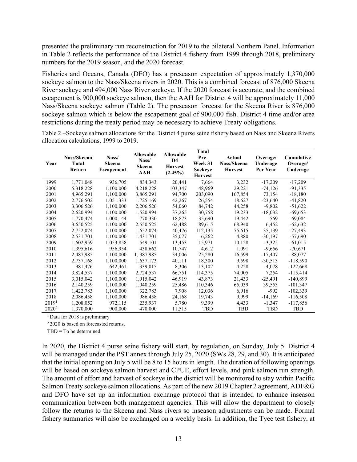presented the preliminary run reconstruction for 2019 to the bilateral Northern Panel. Information in Table 2 reflects the performance of the District 4 fishery from 1999 through 2018, preliminary numbers for the 2019 season, and the 2020 forecast.

Fisheries and Oceans, Canada (DFO) has a preseason expectation of approximately 1,370,000 sockeye salmon to the Nass/Skeena rivers in 2020. This is a combined forecast of 876,000 Skeena River sockeye and 494,000 Nass River sockeye. If the 2020 forecast is accurate, and the combined escapement is 900,000 sockeye salmon, then the AAH for District 4 will be approximately 11,000 Nass/Skeena sockeye salmon (Table 2). The preseason forecast for the Skeena River is 876,000 sockeye salmon which is below the escapement goal of 900,000 fish. District 4 time and/or area restrictions during the treaty period may be necessary to achieve Treaty obligations.

<span id="page-18-0"></span>Table 2.–Sockeye salmon allocations for the District 4 purse seine fishery based on Nass and Skeena Rivers allocation calculations, 1999 to 2019.

| Year              | Nass/Skeena<br><b>Total</b><br>Return | Nass/<br>Skeena<br><b>Escapement</b> | <b>Allowable</b><br>Nass/<br><b>Skeena</b><br>AAH | <b>Allowable</b><br>D <sub>4</sub><br><b>Harvest</b><br>$(2.45\%)$ | <b>Total</b><br>Pre-<br>Week 31<br>Sockeye<br><b>Harvest</b> | Actual<br>Nass/Skeena<br><b>Harvest</b> | Overage/<br>Underage<br>Per Year | Cumulative<br>Overage/<br>Underage |
|-------------------|---------------------------------------|--------------------------------------|---------------------------------------------------|--------------------------------------------------------------------|--------------------------------------------------------------|-----------------------------------------|----------------------------------|------------------------------------|
| 1999              | 1,771,048                             | 936,705                              | 834, 343                                          | 20,441                                                             | 7,664                                                        | 3,232                                   | $-17,209$                        | $-17,209$                          |
| 2000              | 5,318,228                             | 1,100,000                            | 4,218,228                                         | 103,347                                                            | 48,969                                                       | 29,221                                  | $-74,126$                        | $-91,335$                          |
| 2001              | 4,965,291                             | 1,100,000                            | 3,865,291                                         | 94,700                                                             | 203,090                                                      | 167,854                                 | 73,154                           | $-18,180$                          |
| 2002              | 2,776,502                             | 1,051,333                            | 1,725,169                                         | 42,267                                                             | 26,554                                                       | 18,627                                  | $-23,640$                        | $-41,820$                          |
| 2003              | 3,306,526                             | 1,100,000                            | 2,206,526                                         | 54,060                                                             | 84,742                                                       | 44,258                                  | $-9,802$                         | $-51,622$                          |
| 2004              | 2,620,994                             | 1,100,000                            | 1,520,994                                         | 37,265                                                             | 30,758                                                       | 19,233                                  | $-18,032$                        | $-69,653$                          |
| 2005              | 1,770,474                             | 1,000,144                            | 770,330                                           | 18,873                                                             | 35,690                                                       | 19,442                                  | 569                              | $-69,084$                          |
| 2006              | 3,650,525                             | 1,100,000                            | 2,550,525                                         | 62,488                                                             | 89,615                                                       | 68,940                                  | 6,452                            | $-62,632$                          |
| 2007              | 2,752,074                             | 1,100,000                            | 1,652,074                                         | 40,476                                                             | 112,135                                                      | 75,615                                  | 35,139                           | $-27,493$                          |
| 2008              | 2,531,701                             | 1,100,000                            | 1,431,701                                         | 35,077                                                             | 6,262                                                        | 4,880                                   | $-30,197$                        | $-57,690$                          |
| 2009              | 1,602,959                             | 1,053,858                            | 549,101                                           | 13,453                                                             | 15,971                                                       | 10,128                                  | $-3,325$                         | $-61,015$                          |
| 2010              | 1,395,616                             | 956,954                              | 438,662                                           | 10,747                                                             | 4,612                                                        | 1,091                                   | $-9,656$                         | $-70,671$                          |
| 2011              | 2,487,985                             | 1,100,000                            | 1,387,985                                         | 34,006                                                             | 25,280                                                       | 16,599                                  | $-17,407$                        | $-88,077$                          |
| 2012              | 2,737,168                             | 1,100,000                            | 1,637,173                                         | 40,111                                                             | 18,300                                                       | 9,598                                   | $-30,513$                        | $-118,590$                         |
| 2013              | 981,476                               | 642,461                              | 339,015                                           | 8,306                                                              | 13,102                                                       | 4,228                                   | $-4,078$                         | $-122,668$                         |
| 2014              | 3,824,537                             | 1,100,000                            | 2,724,537                                         | 66,751                                                             | 114,375                                                      | 74,005                                  | 7,254                            | $-115,414$                         |
| 2015              | 3,015,042                             | 1,100,000                            | 1,915,042                                         | 46,919                                                             | 43,873                                                       | 21,433                                  | $-25,491$                        | $-140,899$                         |
| 2016              | 2,140,259                             | 1,100,000                            | 1,040,259                                         | 25,486                                                             | 110,346                                                      | 65,039                                  | 39,553                           | $-101,347$                         |
| 2017              | 1,422,783                             | 1,100,000                            | 322,783                                           | 7,908                                                              | 12,036                                                       | 6,916                                   | $-992$                           | $-102,339$                         |
| 2018              | 2,086,458                             | 1,100,000                            | 986,458                                           | 24,168                                                             | 19,743                                                       | 9,999                                   | $-14,169$                        | $-116,508$                         |
| 2019 <sup>1</sup> | 1,208,052                             | 972,115                              | 235,937                                           | 5,780                                                              | 9,399                                                        | 4,433                                   | $-1,347$                         | -117,856                           |
| $2020^2$          | 1,370,000                             | 900,000                              | 470,000                                           | 11,515                                                             | TBD                                                          | <b>TBD</b>                              | TBD                              | TBD                                |

<sup>1</sup> Data for 2018 is preliminary

2 2020 is based on forecasted returns.

TBD = To be determined

In 2020, the District 4 purse seine fishery will start, by regulation, on Sunday, July 5. District 4 will be managed under the PST annex through July 25, 2020 (SWs 28, 29, and 30). It is anticipated that the initial opening on July 5 will be 8 to 15 hours in length. The duration of following openings will be based on sockeye salmon harvest and CPUE, effort levels, and pink salmon run strength. The amount of effort and harvest of sockeye in the district will be monitored to stay within Pacific Salmon Treaty sockeye salmon allocations. As part of the new 2019 Chapter 2 agreement, ADF&G and DFO have set up an information exchange protocol that is intended to enhance inseason communication between both management agencies. This will allow the department to closely follow the returns to the Skeena and Nass rivers so inseason adjustments can be made. Formal fishery summaries will also be exchanged on a weekly basis. In addition, the Tyee test fishery, at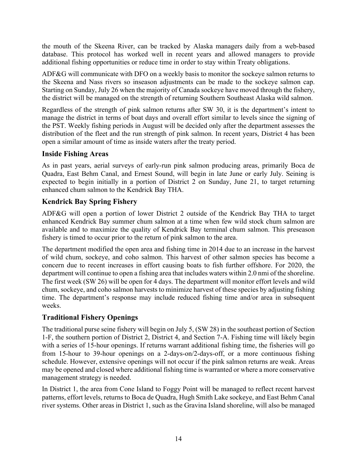the mouth of the Skeena River, can be tracked by Alaska managers daily from a web-based database. This protocol has worked well in recent years and allowed managers to provide additional fishing opportunities or reduce time in order to stay within Treaty obligations.

ADF&G will communicate with DFO on a weekly basis to monitor the sockeye salmon returns to the Skeena and Nass rivers so inseason adjustments can be made to the sockeye salmon cap. Starting on Sunday, July 26 when the majority of Canada sockeye have moved through the fishery, the district will be managed on the strength of returning Southern Southeast Alaska wild salmon.

Regardless of the strength of pink salmon returns after SW 30, it is the department's intent to manage the district in terms of boat days and overall effort similar to levels since the signing of the PST. Weekly fishing periods in August will be decided only after the department assesses the distribution of the fleet and the run strength of pink salmon. In recent years, District 4 has been open a similar amount of time as inside waters after the treaty period.

#### <span id="page-19-0"></span>**Inside Fishing Areas**

As in past years, aerial surveys of early-run pink salmon producing areas, primarily Boca de Quadra, East Behm Canal, and Ernest Sound, will begin in late June or early July. Seining is expected to begin initially in a portion of District 2 on Sunday, June 21, to target returning enhanced chum salmon to the Kendrick Bay THA.

# <span id="page-19-1"></span>**Kendrick Bay Spring Fishery**

ADF&G will open a portion of lower District 2 outside of the Kendrick Bay THA to target enhanced Kendrick Bay summer chum salmon at a time when few wild stock chum salmon are available and to maximize the quality of Kendrick Bay terminal chum salmon. This preseason fishery is timed to occur prior to the return of pink salmon to the area.

The department modified the open area and fishing time in 2014 due to an increase in the harvest of wild chum, sockeye, and coho salmon. This harvest of other salmon species has become a concern due to recent increases in effort causing boats to fish further offshore. For 2020, the department will continue to open a fishing area that includes waters within 2.0 nmi of the shoreline. The first week (SW 26) will be open for 4 days. The department will monitor effort levels and wild chum, sockeye, and coho salmon harvests to minimize harvest of these species by adjusting fishing time. The department's response may include reduced fishing time and/or area in subsequent weeks.

# <span id="page-19-2"></span>**Traditional Fishery Openings**

The traditional purse seine fishery will begin on July 5, (SW 28) in the southeast portion of Section 1-F, the southern portion of District 2, District 4, and Section 7-A. Fishing time will likely begin with a series of 15-hour openings. If returns warrant additional fishing time, the fisheries will go from 15-hour to 39-hour openings on a 2-days-on/2-days-off, or a more continuous fishing schedule. However, extensive openings will not occur if the pink salmon returns are weak. Areas may be opened and closed where additional fishing time is warranted or where a more conservative management strategy is needed.

In District 1, the area from Cone Island to Foggy Point will be managed to reflect recent harvest patterns, effort levels, returns to Boca de Quadra, Hugh Smith Lake sockeye, and East Behm Canal river systems. Other areas in District 1, such as the Gravina Island shoreline, will also be managed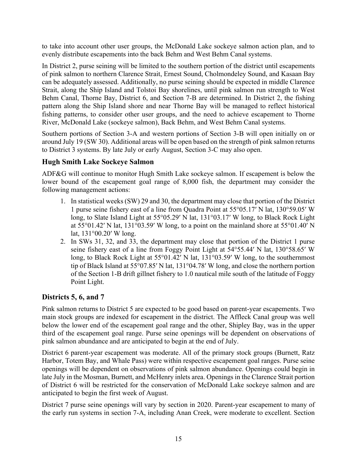to take into account other user groups, the McDonald Lake sockeye salmon action plan, and to evenly distribute escapements into the back Behm and West Behm Canal systems.

In District 2, purse seining will be limited to the southern portion of the district until escapements of pink salmon to northern Clarence Strait, Ernest Sound, Cholmondeley Sound, and Kasaan Bay can be adequately assessed. Additionally, no purse seining should be expected in middle Clarence Strait, along the Ship Island and Tolstoi Bay shorelines, until pink salmon run strength to West Behm Canal, Thorne Bay, District 6, and Section 7-B are determined. In District 2, the fishing pattern along the Ship Island shore and near Thorne Bay will be managed to reflect historical fishing patterns, to consider other user groups, and the need to achieve escapement to Thorne River, McDonald Lake (sockeye salmon), Back Behm, and West Behm Canal systems.

Southern portions of Section 3-A and western portions of Section 3-B will open initially on or around July 19 (SW 30). Additional areas will be open based on the strength of pink salmon returns to District 3 systems. By late July or early August, Section 3-C may also open.

#### <span id="page-20-0"></span>**Hugh Smith Lake Sockeye Salmon**

ADF&G will continue to monitor Hugh Smith Lake sockeye salmon. If escapement is below the lower bound of the escapement goal range of 8,000 fish, the department may consider the following management actions:

- 1. In statistical weeks (SW) 29 and 30, the department may close that portion of the District 1 purse seine fishery east of a line from Quadra Point at 55°05.17′ N lat, 130°59.05′ W long, to Slate Island Light at 55°05.29′ N lat, 131°03.17′ W long, to Black Rock Light at 55°01.42′ N lat, 131°03.59′ W long, to a point on the mainland shore at 55°01.40′ N lat, 131°00.20′ W long.
- 2. In SWs 31, 32, and 33, the department may close that portion of the District 1 purse seine fishery east of a line from Foggy Point Light at 54°55.44′ N lat, 130°58.65′ W long, to Black Rock Light at 55°01.42′ N lat, 131°03.59′ W long, to the southernmost tip of Black Island at 55°07.85′ N lat, 131°04.78′ W long, and close the northern portion of the Section 1-B drift gillnet fishery to 1.0 nautical mile south of the latitude of Foggy Point Light.

#### <span id="page-20-1"></span>**Districts 5, 6, and 7**

Pink salmon returns to District 5 are expected to be good based on parent-year escapements. Two main stock groups are indexed for escapement in the district. The Affleck Canal group was well below the lower end of the escapement goal range and the other, Shipley Bay, was in the upper third of the escapement goal range. Purse seine openings will be dependent on observations of pink salmon abundance and are anticipated to begin at the end of July.

District 6 parent-year escapement was moderate. All of the primary stock groups (Burnett, Ratz Harbor, Totem Bay, and Whale Pass) were within respective escapement goal ranges. Purse seine openings will be dependent on observations of pink salmon abundance. Openings could begin in late July in the Mosman, Burnett, and McHenry inlets area. Openings in the Clarence Strait portion of District 6 will be restricted for the conservation of McDonald Lake sockeye salmon and are anticipated to begin the first week of August.

District 7 purse seine openings will vary by section in 2020. Parent-year escapement to many of the early run systems in section 7-A, including Anan Creek, were moderate to excellent. Section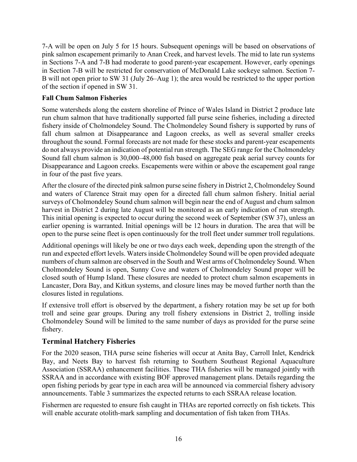7-A will be open on July 5 for 15 hours. Subsequent openings will be based on observations of pink salmon escapement primarily to Anan Creek, and harvest levels. The mid to late run systems in Sections 7-A and 7-B had moderate to good parent-year escapement. However, early openings in Section 7-B will be restricted for conservation of McDonald Lake sockeye salmon. Section 7- B will not open prior to SW 31 (July 26–Aug 1); the area would be restricted to the upper portion of the section if opened in SW 31.

#### **Fall Chum Salmon Fisheries**

Some watersheds along the eastern shoreline of Prince of Wales Island in District 2 produce late run chum salmon that have traditionally supported fall purse seine fisheries, including a directed fishery inside of Cholmondeley Sound. The Cholmondeley Sound fishery is supported by runs of fall chum salmon at Disappearance and Lagoon creeks, as well as several smaller creeks throughout the sound. Formal forecasts are not made for these stocks and parent-year escapements do not always provide an indication of potential run strength. The SEG range for the Cholmondeley Sound fall chum salmon is 30,000–48,000 fish based on aggregate peak aerial survey counts for Disappearance and Lagoon creeks. Escapements were within or above the escapement goal range in four of the past five years.

After the closure of the directed pink salmon purse seine fishery in District 2, Cholmondeley Sound and waters of Clarence Strait may open for a directed fall chum salmon fishery. Initial aerial surveys of Cholmondeley Sound chum salmon will begin near the end of August and chum salmon harvest in District 2 during late August will be monitored as an early indication of run strength. This initial opening is expected to occur during the second week of September (SW 37), unless an earlier opening is warranted. Initial openings will be 12 hours in duration. The area that will be open to the purse seine fleet is open continuously for the troll fleet under summer troll regulations.

Additional openings will likely be one or two days each week, depending upon the strength of the run and expected effort levels. Waters inside Cholmondeley Sound will be open provided adequate numbers of chum salmon are observed in the South and West arms of Cholmondeley Sound. When Cholmondeley Sound is open, Sunny Cove and waters of Cholmondeley Sound proper will be closed south of Hump Island. These closures are needed to protect chum salmon escapements in Lancaster, Dora Bay, and Kitkun systems, and closure lines may be moved further north than the closures listed in regulations.

If extensive troll effort is observed by the department, a fishery rotation may be set up for both troll and seine gear groups. During any troll fishery extensions in District 2, trolling inside Cholmondeley Sound will be limited to the same number of days as provided for the purse seine fishery.

# <span id="page-21-0"></span>**Terminal Hatchery Fisheries**

For the 2020 season, THA purse seine fisheries will occur at Anita Bay, Carroll Inlet, Kendrick Bay, and Neets Bay to harvest fish returning to Southern Southeast Regional Aquaculture Association (SSRAA) enhancement facilities. These THA fisheries will be managed jointly with SSRAA and in accordance with existing BOF approved management plans. Details regarding the open fishing periods by gear type in each area will be announced via commercial fishery advisory announcements. Table 3 summarizes the expected returns to each SSRAA release location.

Fishermen are requested to ensure fish caught in THAs are reported correctly on fish tickets. This will enable accurate otolith-mark sampling and documentation of fish taken from THAs.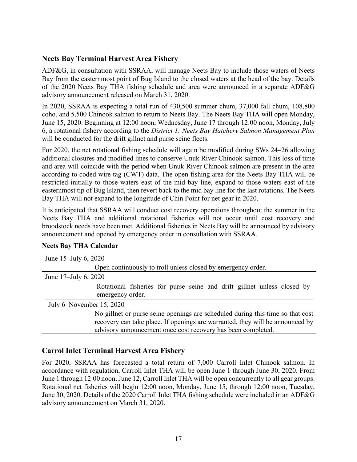#### <span id="page-22-0"></span>**Neets Bay Terminal Harvest Area Fishery**

ADF&G, in consultation with SSRAA, will manage Neets Bay to include those waters of Neets Bay from the easternmost point of Bug Island to the closed waters at the head of the bay. Details of the 2020 Neets Bay THA fishing schedule and area were announced in a separate ADF&G advisory announcement released on March 31, 2020.

In 2020, SSRAA is expecting a total run of 430,500 summer chum, 37,000 fall chum, 108,800 coho, and 5,500 Chinook salmon to return to Neets Bay. The Neets Bay THA will open Monday, June 15, 2020. Beginning at 12:00 noon, Wednesday, June 17 through 12:00 noon, Monday, July 6, a rotational fishery according to the *District 1: Neets Bay Hatchery Salmon Management Plan* will be conducted for the drift gillnet and purse seine fleets.

For 2020, the net rotational fishing schedule will again be modified during SWs 24–26 allowing additional closures and modified lines to conserve Unuk River Chinook salmon. This loss of time and area will coincide with the period when Unuk River Chinook salmon are present in the area according to coded wire tag (CWT) data. The open fishing area for the Neets Bay THA will be restricted initially to those waters east of the mid bay line, expand to those waters east of the easternmost tip of Bug Island, then revert back to the mid bay line for the last rotations. The Neets Bay THA will not expand to the longitude of Chin Point for net gear in 2020.

It is anticipated that SSRAA will conduct cost recovery operations throughout the summer in the Neets Bay THA and additional rotational fisheries will not occur until cost recovery and broodstock needs have been met. Additional fisheries in Neets Bay will be announced by advisory announcement and opened by emergency order in consultation with SSRAA.

| June 15-July 6, 2020                                                           |
|--------------------------------------------------------------------------------|
| Open continuously to troll unless closed by emergency order.                   |
| June 17–July 6, 2020                                                           |
| Rotational fisheries for purse seine and drift gillnet unless closed by        |
| emergency order.                                                               |
| July 6–November 15, 2020                                                       |
| No gillnet or purse seine openings are scheduled during this time so that cost |
| recovery can take place. If openings are warranted, they will be announced by  |
| advisory announcement once cost recovery has been completed.                   |

#### **Neets Bay THA Calendar**

#### <span id="page-22-1"></span>**Carrol Inlet Terminal Harvest Area Fishery**

For 2020, SSRAA has forecasted a total return of 7,000 Carroll Inlet Chinook salmon. In accordance with regulation, Carroll Inlet THA will be open June 1 through June 30, 2020. From June 1 through 12:00 noon, June 12, Carroll Inlet THA will be open concurrently to all gear groups. Rotational net fisheries will begin 12:00 noon, Monday, June 15, through 12:00 noon, Tuesday, June 30, 2020. Details of the 2020 Carroll Inlet THA fishing schedule were included in an ADF&G advisory announcement on March 31, 2020.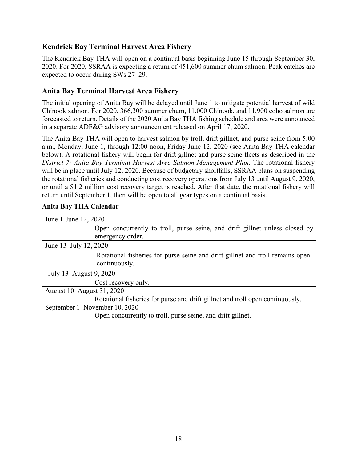#### <span id="page-23-0"></span>**Kendrick Bay Terminal Harvest Area Fishery**

The Kendrick Bay THA will open on a continual basis beginning June 15 through September 30, 2020. For 2020, SSRAA is expecting a return of 451,600 summer chum salmon. Peak catches are expected to occur during SWs 27–29.

#### <span id="page-23-1"></span>**Anita Bay Terminal Harvest Area Fishery**

The initial opening of Anita Bay will be delayed until June 1 to mitigate potential harvest of wild Chinook salmon. For 2020, 366,300 summer chum, 11,000 Chinook, and 11,900 coho salmon are forecasted to return. Details of the 2020 Anita Bay THA fishing schedule and area were announced in a separate ADF&G advisory announcement released on April 17, 2020.

The Anita Bay THA will open to harvest salmon by troll, drift gillnet, and purse seine from 5:00 a.m., Monday, June 1, through 12:00 noon, Friday June 12, 2020 (see Anita Bay THA calendar below). A rotational fishery will begin for drift gillnet and purse seine fleets as described in the *District 7: Anita Bay Terminal Harvest Area Salmon Management Plan*. The rotational fishery will be in place until July 12, 2020. Because of budgetary shortfalls, SSRAA plans on suspending the rotational fisheries and conducting cost recovery operations from July 13 until August 9, 2020, or until a \$1.2 million cost recovery target is reached. After that date, the rotational fishery will return until September 1, then will be open to all gear types on a continual basis.

| June 1-June 12, 2020                                                                           |  |
|------------------------------------------------------------------------------------------------|--|
|                                                                                                |  |
| Open concurrently to troll, purse seine, and drift gillnet unless closed by                    |  |
| emergency order.                                                                               |  |
| June 13-July 12, 2020                                                                          |  |
| Rotational fisheries for purse seine and drift gillnet and troll remains open<br>continuously. |  |
| July 13–August 9, 2020                                                                         |  |
| Cost recovery only.                                                                            |  |
| August 10–August 31, 2020                                                                      |  |
| Rotational fisheries for purse and drift gillnet and troll open continuously.                  |  |
| September 1–November 10, 2020                                                                  |  |
| Open concurrently to troll, purse seine, and drift gillnet.                                    |  |
|                                                                                                |  |

#### **Anita Bay THA Calendar**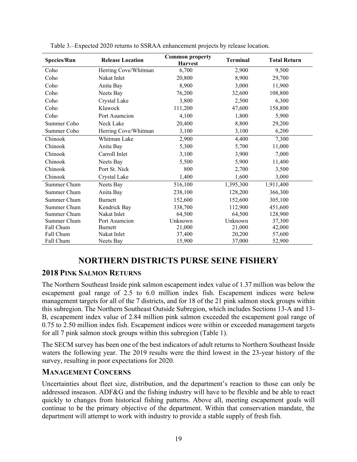| <b>Release Location</b><br><b>Species/Run</b> |                      | <b>Common property</b><br><b>Harvest</b> | <b>Terminal</b> | <b>Total Return</b> |
|-----------------------------------------------|----------------------|------------------------------------------|-----------------|---------------------|
| Coho                                          | Herring Cove/Whitman | 6,700                                    | 2,900           | 9,500               |
| Coho                                          | Nakat Inlet          | 20,800                                   | 8,900           | 29,700              |
| Coho                                          | Anita Bay            | 8,900                                    | 3,000           | 11,900              |
| Coho                                          | Neets Bay            | 76,200                                   | 32,600          | 108,800             |
| Coho                                          | Crystal Lake         | 3,800                                    | 2,500           | 6,300               |
| Coho                                          | Klawock              | 111,200                                  | 47,600          | 158,800             |
| Coho                                          | Port Asumcion        | 4,100                                    | 1,800           | 5,900               |
| Summer Coho                                   | Neck Lake            | 20,400                                   | 8,800           | 29,200              |
| Summer Coho                                   | Herring Cove/Whitman | 3,100                                    | 3,100           | 6,200               |
| Chinook                                       | Whitman Lake         | 2,900                                    | 4,400           | 7,300               |
| Chinook                                       | Anita Bay            | 5,300                                    | 5,700           | 11,000              |
| Chinook                                       | Carroll Inlet        | 3,100                                    | 3,900           | 7,000               |
| Chinook                                       | Neets Bay            | 5,500                                    | 5,900           | 11,400              |
| Port St. Nick<br>Chinook                      |                      | 800                                      | 2,700           | 3,500               |
| Chinook                                       | Crystal Lake         | 1,400                                    | 1,600           | 3,000               |
| Summer Chum                                   | Neets Bay            | 516,100                                  | 1,395,300       | 1,911,400           |
| Summer Chum                                   | Anita Bay            | 238,100                                  | 128,200         | 366,300             |
| Summer Chum                                   | <b>Burnett</b>       | 152,600                                  | 152,600         | 305,100             |
| Summer Chum                                   | Kendrick Bay         | 338,700                                  | 112,900         | 451,600             |
| Summer Chum                                   | Nakat Inlet          | 64,500                                   | 64,500          | 128,900             |
| Summer Chum                                   | Port Asumcion        | Unknown                                  | Unknown         | 37,300              |
| Fall Chum                                     | Burnett              | 21,000                                   | 21,000          | 42,000              |
| Fall Chum                                     | Nakat Inlet          | 37,400                                   | 20,200          | 57,600              |
| Fall Chum                                     | Neets Bay            | 15,900                                   | 37,000          | 52,900              |

<span id="page-24-3"></span>Table 3.–Expected 2020 returns to SSRAA enhancement projects by release location.

# **NORTHERN DISTRICTS PURSE SEINE FISHERY**

#### <span id="page-24-1"></span><span id="page-24-0"></span>**2018 PINK SALMON RETURNS**

The Northern Southeast Inside pink salmon escapement index value of 1.37 million was below the escapement goal range of 2.5 to 6.0 million index fish. Escapement indices were below management targets for all of the 7 districts, and for 18 of the 21 pink salmon stock groups within this subregion. The Northern Southeast Outside Subregion, which includes Sections 13-A and 13- B, escapement index value of 2.84 million pink salmon exceeded the escapement goal range of 0.75 to 2.50 million index fish. Escapement indices were within or exceeded management targets for all 7 pink salmon stock groups within this subregion (Table 1).

The SECM survey has been one of the best indicators of adult returns to Northern Southeast Inside waters the following year. The 2019 results were the third lowest in the 23-year history of the survey, resulting in poor expectations for 2020.

#### <span id="page-24-2"></span>**MANAGEMENT CONCERNS**

Uncertainties about fleet size, distribution, and the department's reaction to those can only be addressed inseason. ADF&G and the fishing industry will have to be flexible and be able to react quickly to changes from historical fishing patterns. Above all, meeting escapement goals will continue to be the primary objective of the department. Within that conservation mandate, the department will attempt to work with industry to provide a stable supply of fresh fish.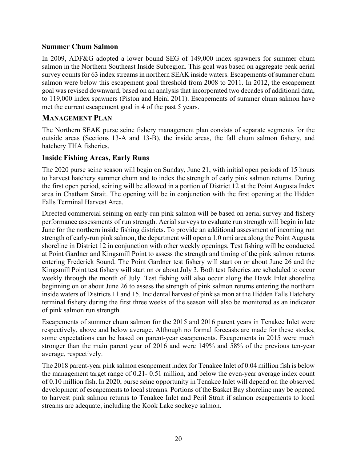#### <span id="page-25-0"></span>**Summer Chum Salmon**

In 2009, ADF&G adopted a lower bound SEG of 149,000 index spawners for summer chum salmon in the Northern Southeast Inside Subregion. This goal was based on aggregate peak aerial survey counts for 63 index streams in northern SEAK inside waters. Escapements of summer chum salmon were below this escapement goal threshold from 2008 to 2011. In 2012, the escapement goal was revised downward, based on an analysis that incorporated two decades of additional data, to 119,000 index spawners (Piston and Heinl 2011). Escapements of summer chum salmon have met the current escapement goal in 4 of the past 5 years.

#### <span id="page-25-1"></span>**MANAGEMENT PLAN**

The Northern SEAK purse seine fishery management plan consists of separate segments for the outside areas (Sections 13-A and 13-B), the inside areas, the fall chum salmon fishery, and hatchery THA fisheries.

#### <span id="page-25-2"></span>**Inside Fishing Areas, Early Runs**

The 2020 purse seine season will begin on Sunday, June 21, with initial open periods of 15 hours to harvest hatchery summer chum and to index the strength of early pink salmon returns. During the first open period, seining will be allowed in a portion of District 12 at the Point Augusta Index area in Chatham Strait. The opening will be in conjunction with the first opening at the Hidden Falls Terminal Harvest Area.

Directed commercial seining on early-run pink salmon will be based on aerial survey and fishery performance assessments of run strength. Aerial surveys to evaluate run strength will begin in late June for the northern inside fishing districts. To provide an additional assessment of incoming run strength of early-run pink salmon, the department will open a 1.0 nmi area along the Point Augusta shoreline in District 12 in conjunction with other weekly openings. Test fishing will be conducted at Point Gardner and Kingsmill Point to assess the strength and timing of the pink salmon returns entering Frederick Sound. The Point Gardner test fishery will start on or about June 26 and the Kingsmill Point test fishery will start on or about July 3. Both test fisheries are scheduled to occur weekly through the month of July. Test fishing will also occur along the Hawk Inlet shoreline beginning on or about June 26 to assess the strength of pink salmon returns entering the northern inside waters of Districts 11 and 15. Incidental harvest of pink salmon at the Hidden Falls Hatchery terminal fishery during the first three weeks of the season will also be monitored as an indicator of pink salmon run strength.

Escapements of summer chum salmon for the 2015 and 2016 parent years in Tenakee Inlet were respectively, above and below average. Although no formal forecasts are made for these stocks, some expectations can be based on parent-year escapements. Escapements in 2015 were much stronger than the main parent year of 2016 and were 149% and 58% of the previous ten-year average, respectively.

The 2018 parent-year pink salmon escapement index for Tenakee Inlet of 0.04 million fish is below the management target range of 0.21- 0.51 million, and below the even-year average index count of 0.10 million fish. In 2020, purse seine opportunity in Tenakee Inlet will depend on the observed development of escapements to local streams. Portions of the Basket Bay shoreline may be opened to harvest pink salmon returns to Tenakee Inlet and Peril Strait if salmon escapements to local streams are adequate, including the Kook Lake sockeye salmon.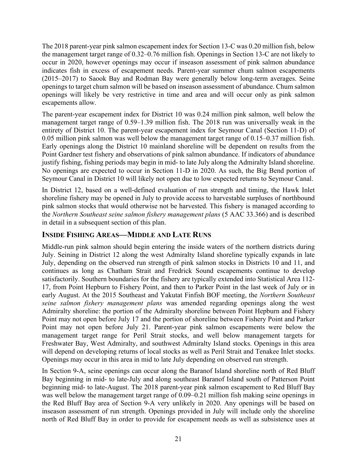The 2018 parent-year pink salmon escapement index for Section 13-C was 0.20 million fish, below the management target range of 0.32–0.76 million fish. Openings in Section 13-C are not likely to occur in 2020, however openings may occur if inseason assessment of pink salmon abundance indicates fish in excess of escapement needs. Parent-year summer chum salmon escapements (2015–2017) to Saook Bay and Rodman Bay were generally below long-term averages. Seine openings to target chum salmon will be based on inseason assessment of abundance. Chum salmon openings will likely be very restrictive in time and area and will occur only as pink salmon escapements allow.

The parent-year escapement index for District 10 was 0.24 million pink salmon, well below the management target range of 0.59–1.39 million fish. The 2018 run was universally weak in the entirety of District 10. The parent-year escapement index for Seymour Canal (Section 11-D) of 0.05 million pink salmon was well below the management target range of 0.15–0.37 million fish. Early openings along the District 10 mainland shoreline will be dependent on results from the Point Gardner test fishery and observations of pink salmon abundance. If indicators of abundance justify fishing, fishing periods may begin in mid- to late July along the Admiralty Island shoreline. No openings are expected to occur in Section 11-D in 2020. As such, the Big Bend portion of Seymour Canal in District 10 will likely not open due to low expected returns to Seymour Canal.

In District 12, based on a well-defined evaluation of run strength and timing, the Hawk Inlet shoreline fishery may be opened in July to provide access to harvestable surpluses of northbound pink salmon stocks that would otherwise not be harvested. This fishery is managed according to the *Northern Southeast seine salmon fishery management plans* (5 AAC 33.366) and is described in detail in a subsequent section of this plan.

#### <span id="page-26-0"></span>**INSIDE FISHING AREAS—MIDDLE AND LATE RUNS**

Middle-run pink salmon should begin entering the inside waters of the northern districts during July. Seining in District 12 along the west Admiralty Island shoreline typically expands in late July, depending on the observed run strength of pink salmon stocks in Districts 10 and 11, and continues as long as Chatham Strait and Fredrick Sound escapements continue to develop satisfactorily. Southern boundaries for the fishery are typically extended into Statistical Area 112- 17, from Point Hepburn to Fishery Point, and then to Parker Point in the last week of July or in early August. At the 2015 Southeast and Yakutat Finfish BOF meeting, the *Northern Southeast seine salmon fishery management plans* was amended regarding openings along the west Admiralty shoreline: the portion of the Admiralty shoreline between Point Hepburn and Fishery Point may not open before July 17 and the portion of shoreline between Fishery Point and Parker Point may not open before July 21. Parent-year pink salmon escapements were below the management target range for Peril Strait stocks, and well below management targets for Freshwater Bay, West Admiralty, and southwest Admiralty Island stocks. Openings in this area will depend on developing returns of local stocks as well as Peril Strait and Tenakee Inlet stocks. Openings may occur in this area in mid to late July depending on observed run strength.

In Section 9-A, seine openings can occur along the Baranof Island shoreline north of Red Bluff Bay beginning in mid- to late-July and along southeast Baranof Island south of Patterson Point beginning mid- to late-August. The 2018 parent-year pink salmon escapement to Red Bluff Bay was well below the management target range of 0.09–0.21 million fish making seine openings in the Red Bluff Bay area of Section 9-A very unlikely in 2020. Any openings will be based on inseason assessment of run strength. Openings provided in July will include only the shoreline north of Red Bluff Bay in order to provide for escapement needs as well as subsistence uses at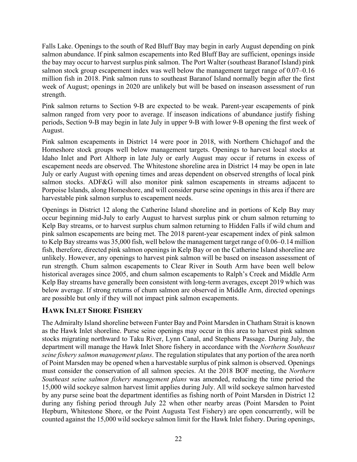Falls Lake. Openings to the south of Red Bluff Bay may begin in early August depending on pink salmon abundance. If pink salmon escapements into Red Bluff Bay are sufficient, openings inside the bay may occur to harvest surplus pink salmon. The Port Walter (southeast Baranof Island) pink salmon stock group escapement index was well below the management target range of 0.07–0.16 million fish in 2018. Pink salmon runs to southeast Baranof Island normally begin after the first week of August; openings in 2020 are unlikely but will be based on inseason assessment of run strength.

Pink salmon returns to Section 9-B are expected to be weak. Parent-year escapements of pink salmon ranged from very poor to average. If inseason indications of abundance justify fishing periods, Section 9-B may begin in late July in upper 9-B with lower 9-B opening the first week of August.

Pink salmon escapements in District 14 were poor in 2018, with Northern Chichagof and the Homeshore stock groups well below management targets. Openings to harvest local stocks at Idaho Inlet and Port Althorp in late July or early August may occur if returns in excess of escapement needs are observed. The Whitestone shoreline area in District 14 may be open in late July or early August with opening times and areas dependent on observed strengths of local pink salmon stocks. ADF&G will also monitor pink salmon escapements in streams adjacent to Porpoise Islands, along Homeshore, and will consider purse seine openings in this area if there are harvestable pink salmon surplus to escapement needs.

Openings in District 12 along the Catherine Island shoreline and in portions of Kelp Bay may occur beginning mid-July to early August to harvest surplus pink or chum salmon returning to Kelp Bay streams, or to harvest surplus chum salmon returning to Hidden Falls if wild chum and pink salmon escapements are being met. The 2018 parent-year escapement index of pink salmon to Kelp Bay streams was 35,000 fish, well below the management target range of 0.06–0.14 million fish, therefore, directed pink salmon openings in Kelp Bay or on the Catherine Island shoreline are unlikely. However, any openings to harvest pink salmon will be based on inseason assessment of run strength. Chum salmon escapements to Clear River in South Arm have been well below historical averages since 2005, and chum salmon escapements to Ralph's Creek and Middle Arm Kelp Bay streams have generally been consistent with long-term averages, except 2019 which was below average. If strong returns of chum salmon are observed in Middle Arm, directed openings are possible but only if they will not impact pink salmon escapements.

#### <span id="page-27-0"></span>**HAWK INLET SHORE FISHERY**

The Admiralty Island shoreline between Funter Bay and Point Marsden in Chatham Strait is known as the Hawk Inlet shoreline. Purse seine openings may occur in this area to harvest pink salmon stocks migrating northward to Taku River, Lynn Canal, and Stephens Passage. During July, the department will manage the Hawk Inlet Shore fishery in accordance with the *Northern Southeast seine fishery salmon management plans*. The regulation stipulates that any portion of the area north of Point Marsden may be opened when a harvestable surplus of pink salmon is observed. Openings must consider the conservation of all salmon species. At the 2018 BOF meeting, the *Northern Southeast seine salmon fishery management plans* was amended, reducing the time period the 15,000 wild sockeye salmon harvest limit applies during July. All wild sockeye salmon harvested by any purse seine boat the department identifies as fishing north of Point Marsden in District 12 during any fishing period through July 22 when other nearby areas (Point Marsden to Point Hepburn, Whitestone Shore, or the Point Augusta Test Fishery) are open concurrently, will be counted against the 15,000 wild sockeye salmon limit for the Hawk Inlet fishery. During openings,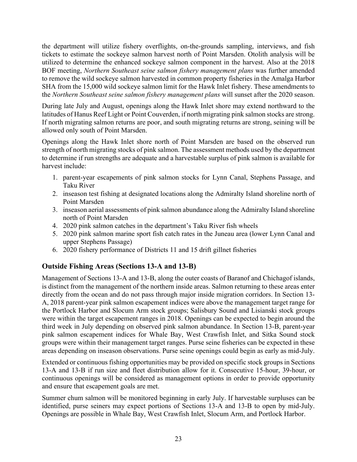the department will utilize fishery overflights, on-the-grounds sampling, interviews, and fish tickets to estimate the sockeye salmon harvest north of Point Marsden. Otolith analysis will be utilized to determine the enhanced sockeye salmon component in the harvest. Also at the 2018 BOF meeting, *Northern Southeast seine salmon fishery management plans* was further amended to remove the wild sockeye salmon harvested in common property fisheries in the Amalga Harbor SHA from the 15,000 wild sockeye salmon limit for the Hawk Inlet fishery. These amendments to the *Northern Southeast seine salmon fishery management plans* will sunset after the 2020 season.

During late July and August, openings along the Hawk Inlet shore may extend northward to the latitudes of Hanus Reef Light or Point Couverden, if north migrating pink salmon stocks are strong. If north migrating salmon returns are poor, and south migrating returns are strong, seining will be allowed only south of Point Marsden.

Openings along the Hawk Inlet shore north of Point Marsden are based on the observed run strength of north migrating stocks of pink salmon. The assessment methods used by the department to determine if run strengths are adequate and a harvestable surplus of pink salmon is available for harvest include:

- 1. parent-year escapements of pink salmon stocks for Lynn Canal, Stephens Passage, and Taku River
- 2. inseason test fishing at designated locations along the Admiralty Island shoreline north of Point Marsden
- 3. inseason aerial assessments of pink salmon abundance along the Admiralty Island shoreline north of Point Marsden
- 4. 2020 pink salmon catches in the department's Taku River fish wheels
- 5. 2020 pink salmon marine sport fish catch rates in the Juneau area (lower Lynn Canal and upper Stephens Passage)
- 6. 2020 fishery performance of Districts 11 and 15 drift gillnet fisheries

# <span id="page-28-0"></span>**Outside Fishing Areas (Sections 13-A and 13-B)**

Management of Sections 13-A and 13-B, along the outer coasts of Baranof and Chichagof islands, is distinct from the management of the northern inside areas. Salmon returning to these areas enter directly from the ocean and do not pass through major inside migration corridors. In Section 13- A, 2018 parent-year pink salmon escapement indices were above the management target range for the Portlock Harbor and Slocum Arm stock groups; Salisbury Sound and Lisianski stock groups were within the target escapement ranges in 2018. Openings can be expected to begin around the third week in July depending on observed pink salmon abundance. In Section 13-B, parent-year pink salmon escapement indices for Whale Bay, West Crawfish Inlet, and Sitka Sound stock groups were within their management target ranges. Purse seine fisheries can be expected in these areas depending on inseason observations. Purse seine openings could begin as early as mid-July.

Extended or continuous fishing opportunities may be provided on specific stock groups in Sections 13-A and 13-B if run size and fleet distribution allow for it. Consecutive 15-hour, 39-hour, or continuous openings will be considered as management options in order to provide opportunity and ensure that escapement goals are met.

Summer chum salmon will be monitored beginning in early July. If harvestable surpluses can be identified, purse seiners may expect portions of Sections 13-A and 13-B to open by mid-July. Openings are possible in Whale Bay, West Crawfish Inlet, Slocum Arm, and Portlock Harbor.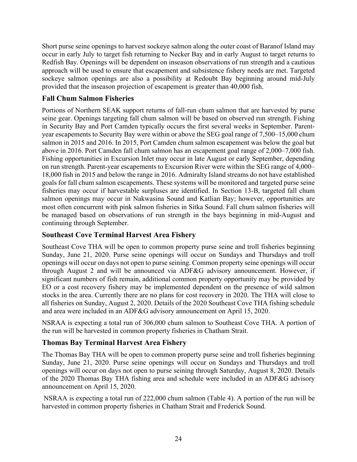Short purse seine openings to harvest sockeye salmon along the outer coast of Baranof Island may occur in early July to target fish returning to Necker Bay and in early August to target returns to Redfish Bay. Openings will be dependent on inseason observations of run strength and a cautious approach will be used to ensure that escapement and subsistence fishery needs are met. Targeted sockeye salmon openings are also a possibility at Redoubt Bay beginning around mid-July provided that the inseason projection of escapement is greater than 40,000 fish.

#### <span id="page-29-0"></span>**Fall Chum Salmon Fisheries**

Portions of Northern SEAK support returns of fall-run chum salmon that are harvested by purse seine gear. Openings targeting fall chum salmon will be based on observed run strength. Fishing in Security Bay and Port Camden typically occurs the first several weeks in September. Parentyear escapements to Security Bay were within or above the SEG goal range of 7,500–15,000 chum salmon in 2015 and 2016. In 2015, Port Camden chum salmon escapement was below the goal but above in 2016. Port Camden fall chum salmon has an escapement goal range of 2,000–7,000 fish. Fishing opportunities in Excursion Inlet may occur in late August or early September, depending on run strength. Parent-year escapements to Excursion River were within the SEG range of 4,000– 18,000 fish in 2015 and below the range in 2016. Admiralty Island streams do not have established goals for fall chum salmon escapements. These systems will be monitored and targeted purse seine fisheries may occur if harvestable surpluses are identified. In Section 13-B, targeted fall chum salmon openings may occur in Nakwasina Sound and Katlian Bay; however, opportunities are most often concurrent with pink salmon fisheries in Sitka Sound. Fall chum salmon fisheries will be managed based on observations of run strength in the bays beginning in mid-August and continuing through September.

#### <span id="page-29-1"></span>**Southeast Cove Terminal Harvest Area Fishery**

Southeast Cove THA will be open to common property purse seine and troll fisheries beginning Sunday, June 21, 2020. Purse seine openings will occur on Sundays and Thursdays and troll openings will occur on days not open to purse seining. Common property seine openings will occur through August 2 and will be announced via ADF&G advisory announcement. However, if significant numbers of fish remain, additional common property opportunity may be provided by EO or a cost recovery fishery may be implemented dependent on the presence of wild salmon stocks in the area. Currently there are no plans for cost recovery in 2020. The THA will close to all fisheries on Sunday, August 2, 2020. Details of the 2020 Southeast Cove THA fishing schedule and area were included in an ADF&G advisory announcement on April 15, 2020.

NSRAA is expecting a total run of 306,000 chum salmon to Southeast Cove THA. A portion of the run will be harvested in common property fisheries in Chatham Strait.

# <span id="page-29-2"></span>**Thomas Bay Terminal Harvest Area Fishery**

The Thomas Bay THA will be open to common property purse seine and troll fisheries beginning Sunday, June 21, 2020. Purse seine openings will occur on Sundays and Thursdays and troll openings will occur on days not open to purse seining through Saturday, August 8, 2020. Details of the 2020 Thomas Bay THA fishing area and schedule were included in an ADF&G advisory announcement on April 15, 2020.

NSRAA is expecting a total run of 222,000 chum salmon (Table 4). A portion of the run will be harvested in common property fisheries in Chatham Strait and Frederick Sound.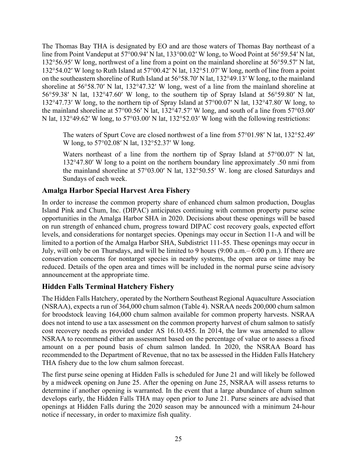The Thomas Bay THA is designated by EO and are those waters of Thomas Bay northeast of a line from Point Vandeput at 57°00.94′ N lat, 133°00.02′ W long, to Wood Point at 56°59.54′ N lat, 132°56.95′ W long, northwest of a line from a point on the mainland shoreline at 56°59.57′ N lat, 132°54.02′ W long to Ruth Island at 57°00.42′ N lat, 132°51.07′ W long, north of line from a point on the southeastern shoreline of Ruth Island at 56°58.70′ N lat, 132°49.13′ W long, to the mainland shoreline at 56°58.70′ N lat, 132°47.32′ W long, west of a line from the mainland shoreline at 56°59.38′ N lat, 132°47.60′ W long, to the southern tip of Spray Island at 56°59.80′ N lat, 132°47.73′ W long, to the northern tip of Spray Island at 57°00.07′ N lat, 132°47.80′ W long, to the mainland shoreline at 57°00.56′ N lat, 132°47.57′ W long, and south of a line from 57°03.00′ N lat, 132°49.62′ W long, to 57°03.00′ N lat, 132°52.03′ W long with the following restrictions:

The waters of Spurt Cove are closed northwest of a line from 57°01.98′ N lat, 132°52.49′ W long, to 57°02.08′ N lat, 132°52.37′ W long.

Waters northeast of a line from the northern tip of Spray Island at  $57^{\circ}00.07'$  N lat, 132°47.80′ W long to a point on the northern boundary line approximately .50 nmi from the mainland shoreline at 57°03.00′ N lat, 132°50.55′ W. long are closed Saturdays and Sundays of each week.

#### <span id="page-30-0"></span>**Amalga Harbor Special Harvest Area Fishery**

In order to increase the common property share of enhanced chum salmon production, Douglas Island Pink and Chum, Inc. (DIPAC) anticipates continuing with common property purse seine opportunities in the Amalga Harbor SHA in 2020. Decisions about these openings will be based on run strength of enhanced chum, progress toward DIPAC cost recovery goals, expected effort levels, and considerations for nontarget species. Openings may occur in Section 11-A and will be limited to a portion of the Amalga Harbor SHA, Subdistrict 111-55. These openings may occur in July, will only be on Thursdays, and will be limited to 9 hours (9:00 a.m.– 6:00 p.m.). If there are conservation concerns for nontarget species in nearby systems, the open area or time may be reduced. Details of the open area and times will be included in the normal purse seine advisory announcement at the appropriate time.

# <span id="page-30-1"></span>**Hidden Falls Terminal Hatchery Fishery**

The Hidden Falls Hatchery, operated by the Northern Southeast Regional Aquaculture Association (NSRAA), expects a run of 364,000 chum salmon (Table 4). NSRAA needs 200,000 chum salmon for broodstock leaving 164,000 chum salmon available for common property harvests. NSRAA does not intend to use a tax assessment on the common property harvest of chum salmon to satisfy cost recovery needs as provided under AS 16.10.455. In 2014, the law was amended to allow NSRAA to recommend either an assessment based on the percentage of value or to assess a fixed amount on a per pound basis of chum salmon landed. In 2020, the NSRAA Board has recommended to the Department of Revenue, that no tax be assessed in the Hidden Falls Hatchery THA fishery due to the low chum salmon forecast.

The first purse seine opening at Hidden Falls is scheduled for June 21 and will likely be followed by a midweek opening on June 25. After the opening on June 25, NSRAA will assess returns to determine if another opening is warranted. In the event that a large abundance of chum salmon develops early, the Hidden Falls THA may open prior to June 21. Purse seiners are advised that openings at Hidden Falls during the 2020 season may be announced with a minimum 24-hour notice if necessary, in order to maximize fish quality.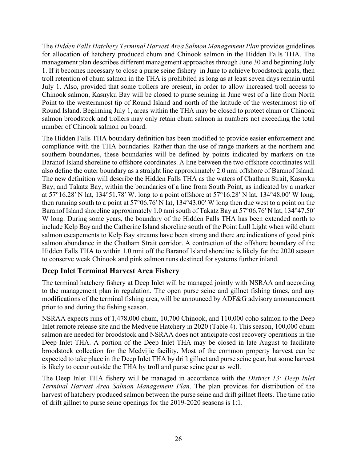The *Hidden Falls Hatchery Terminal Harvest Area Salmon Management Plan* provides guidelines for allocation of hatchery produced chum and Chinook salmon in the Hidden Falls THA. The management plan describes different management approaches through June 30 and beginning July 1. If it becomes necessary to close a purse seine fishery in June to achieve broodstock goals, then troll retention of chum salmon in the THA is prohibited as long as at least seven days remain until July 1. Also, provided that some trollers are present, in order to allow increased troll access to Chinook salmon, Kasnyku Bay will be closed to purse seining in June west of a line from North Point to the westernmost tip of Round Island and north of the latitude of the westernmost tip of Round Island. Beginning July 1, areas within the THA may be closed to protect chum or Chinook salmon broodstock and trollers may only retain chum salmon in numbers not exceeding the total number of Chinook salmon on board.

The Hidden Falls THA boundary definition has been modified to provide easier enforcement and compliance with the THA boundaries. Rather than the use of range markers at the northern and southern boundaries, these boundaries will be defined by points indicated by markers on the Baranof Island shoreline to offshore coordinates. A line between the two offshore coordinates will also define the outer boundary as a straight line approximately 2.0 nmi offshore of Baranof Island. The new definition will describe the Hidden Falls THA as the waters of Chatham Strait, Kasnyku Bay, and Takatz Bay, within the boundaries of a line from South Point, as indicated by a marker at 57°16.28′ N lat, 134°51.78′ W. long to a point offshore at 57°16.28′ N lat, 134°48.00′ W long, then running south to a point at 57°06.76′ N lat, 134°43.00′ W long then due west to a point on the Baranof Island shoreline approximately 1.0 nmi south of Takatz Bay at 57°06.76′ N lat, 134°47.50′ W long. During some years, the boundary of the Hidden Falls THA has been extended north to include Kelp Bay and the Catherine Island shoreline south of the Point Lull Light when wild chum salmon escapements to Kelp Bay streams have been strong and there are indications of good pink salmon abundance in the Chatham Strait corridor. A contraction of the offshore boundary of the Hidden Falls THA to within 1.0 nmi off the Baranof Island shoreline is likely for the 2020 season to conserve weak Chinook and pink salmon runs destined for systems further inland.

# <span id="page-31-0"></span>**Deep Inlet Terminal Harvest Area Fishery**

The terminal hatchery fishery at Deep Inlet will be managed jointly with NSRAA and according to the management plan in regulation. The open purse seine and gillnet fishing times, and any modifications of the terminal fishing area, will be announced by ADF&G advisory announcement prior to and during the fishing season.

NSRAA expects runs of 1,478,000 chum, 10,700 Chinook, and 110,000 coho salmon to the Deep Inlet remote release site and the Medvejie Hatchery in 2020 (Table 4). This season, 100,000 chum salmon are needed for broodstock and NSRAA does not anticipate cost recovery operations in the Deep Inlet THA. A portion of the Deep Inlet THA may be closed in late August to facilitate broodstock collection for the Medvijie facility. Most of the common property harvest can be expected to take place in the Deep Inlet THA by drift gillnet and purse seine gear, but some harvest is likely to occur outside the THA by troll and purse seine gear as well.

The Deep Inlet THA fishery will be managed in accordance with the *District 13: Deep Inlet Terminal Harvest Area Salmon Management Plan*. The plan provides for distribution of the harvest of hatchery produced salmon between the purse seine and drift gillnet fleets. The time ratio of drift gillnet to purse seine openings for the 2019-2020 seasons is 1:1.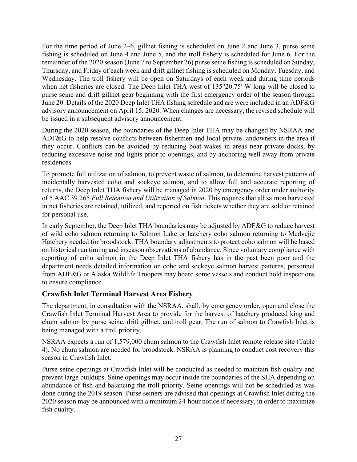For the time period of June 2–6, gillnet fishing is scheduled on June 2 and June 3, purse seine fishing is scheduled on June 4 and June 5, and the troll fishery is scheduled for June 6. For the remainder of the 2020 season (June 7 to September 26) purse seine fishing is scheduled on Sunday, Thursday, and Friday of each week and drift gillnet fishing is scheduled on Monday, Tuesday, and Wednesday. The troll fishery will be open on Saturdays of each week and during time periods when net fisheries are closed. The Deep Inlet THA west of 135°20.75′ W long will be closed to purse seine and drift gillnet gear beginning with the first emergency order of the season through June 20. Details of the 2020 Deep Inlet THA fishing schedule and are were included in an ADF&G advisory announcement on April 15, 2020. When changes are necessary, the revised schedule will be issued in a subsequent advisory announcement.

During the 2020 season, the boundaries of the Deep Inlet THA may be changed by NSRAA and ADF&G to help resolve conflicts between fishermen and local private landowners in the area if they occur. Conflicts can be avoided by reducing boat wakes in areas near private docks, by reducing excessive noise and lights prior to openings, and by anchoring well away from private residences.

To promote full utilization of salmon, to prevent waste of salmon, to determine harvest patterns of incidentally harvested coho and sockeye salmon, and to allow full and accurate reporting of returns, the Deep Inlet THA fishery will be managed in 2020 by emergency order under authority of 5 AAC 39.265 *Full Retention and Utilization of Salmon*. This requires that all salmon harvested in net fisheries are retained, utilized, and reported on fish tickets whether they are sold or retained for personal use.

In early September, the Deep Inlet THA boundaries may be adjusted by ADF&G to reduce harvest of wild coho salmon returning to Salmon Lake or hatchery coho salmon returning to Medvejie Hatchery needed for broodstock. THA boundary adjustments to protect coho salmon will be based on historical run timing and inseason observations of abundance. Since voluntary compliance with reporting of coho salmon in the Deep Inlet THA fishery has in the past been poor and the department needs detailed information on coho and sockeye salmon harvest patterns, personnel from ADF&G or Alaska Wildlife Troopers may board some vessels and conduct hold inspections to ensure compliance.

#### <span id="page-32-0"></span>**Crawfish Inlet Terminal Harvest Area Fishery**

The department, in consultation with the NSRAA, shall, by emergency order, open and close the Crawfish Inlet Terminal Harvest Area to provide for the harvest of hatchery produced king and chum salmon by purse seine, drift gillnet, and troll gear. The run of salmon to Crawfish Inlet is being managed with a troll priority.

NSRAA expects a run of 1,579,000 chum salmon to the Crawfish Inlet remote release site (Table 4). No chum salmon are needed for broodstock. NSRAA is planning to conduct cost recovery this season in Crawfish Inlet.

Purse seine openings at Crawfish Inlet will be conducted as needed to maintain fish quality and prevent large buildups. Seine openings may occur inside the boundaries of the SHA depending on abundance of fish and balancing the troll priority. Seine openings will not be scheduled as was done during the 2019 season. Purse seiners are advised that openings at Crawfish Inlet during the 2020 season may be announced with a minimum 24-hour notice if necessary, in order to maximize fish quality.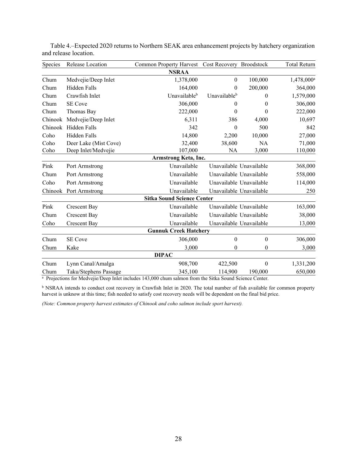| Species | Release Location       | <b>Common Property Harvest</b>    | Cost Recovery Broodstock |                         | <b>Total Return</b>    |
|---------|------------------------|-----------------------------------|--------------------------|-------------------------|------------------------|
|         |                        | <b>NSRAA</b>                      |                          |                         |                        |
| Chum    | Medvejie/Deep Inlet    | 1,378,000                         | $\boldsymbol{0}$         | 100,000                 | 1,478,000 <sup>a</sup> |
| Chum    | Hidden Falls           | 164,000                           | 0                        | 200,000                 | 364,000                |
| Chum    | Crawfish Inlet         | Unavailableb                      | Unavailable <sup>b</sup> | 0                       | 1,579,000              |
| Chum    | <b>SE</b> Cove         | 306,000                           | $\theta$                 | 0                       | 306,000                |
| Chum    | Thomas Bay             | 222,000                           | $\theta$                 | $\theta$                | 222,000                |
| Chinook | Medvejie/Deep Inlet    | 6,311                             | 386                      | 4,000                   | 10,697                 |
| Chinook | Hidden Falls           | 342                               | $\theta$                 | 500                     | 842                    |
| Coho    | Hidden Falls           | 14,800                            | 2,200                    | 10,000                  | 27,000                 |
| Coho    | Deer Lake (Mist Cove)  | 32,400                            | 38,600                   | <b>NA</b>               | 71,000                 |
| Coho    | Deep Inlet/Medvejie    | 107,000                           | NA                       | 3,000                   | 110,000                |
|         |                        | Armstrong Keta, Inc.              |                          |                         |                        |
| Pink    | Port Armstrong         | Unavailable                       |                          | Unavailable Unavailable | 368,000                |
| Chum    | Port Armstrong         | Unavailable                       |                          | Unavailable Unavailable | 558,000                |
| Coho    | Port Armstrong         | Unavailable                       |                          | Unavailable Unavailable | 114,000                |
|         | Chinook Port Armstrong | Unavailable                       |                          | Unavailable Unavailable | 250                    |
|         |                        | <b>Sitka Sound Science Center</b> |                          |                         |                        |
| Pink    | Crescent Bay           | Unavailable                       |                          | Unavailable Unavailable | 163,000                |
| Chum    | <b>Crescent Bay</b>    | Unavailable                       |                          | Unavailable Unavailable | 38,000                 |
| Coho    | <b>Crescent Bay</b>    | Unavailable                       |                          | Unavailable Unavailable | 13,000                 |
|         |                        | <b>Gunnuk Creek Hatchery</b>      |                          |                         |                        |
| Chum    | <b>SE</b> Cove         | 306,000                           | $\theta$                 | $\theta$                | 306,000                |
| Chum    | Kake                   | 3,000                             | $\theta$                 | $\theta$                | 3,000                  |
|         |                        | <b>DIPAC</b>                      |                          |                         |                        |
| Chum    | Lynn Canal/Amalga      | 908,700                           | 422,500                  | $\mathbf{0}$            | 1,331,200              |
| Chum    | Taku/Stephens Passage  | 345,100                           | 114,900                  | 190,000                 | 650,000                |

<span id="page-33-0"></span>Table 4.–Expected 2020 returns to Northern SEAK area enhancement projects by hatchery organization and release location.

<sup>a</sup> Projections for Medvejie/Deep Inlet includes 143,000 chum salmon from the Sitka Sound Science Center.

<sup>b</sup> NSRAA intends to conduct cost recovery in Crawfish Inlet in 2020. The total number of fish available for common property harvest is unknow at this time; fish needed to satisfy cost recovery needs will be dependent on the final bid price.

*(Note: Common property harvest estimates of Chinook and coho salmon include sport harvest).*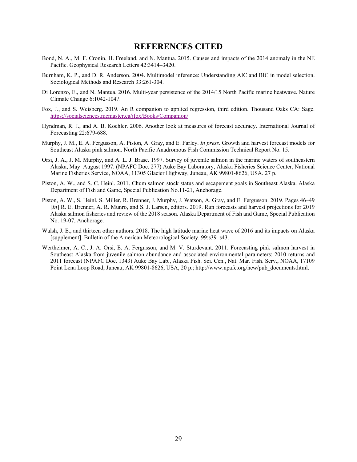#### **REFERENCES CITED**

- <span id="page-34-0"></span>Bond, N. A., M. F. Cronin, H. Freeland, and N. Mantua. 2015. Causes and impacts of the 2014 anomaly in the NE Pacific. Geophysical Research Letters 42:3414–3420.
- Burnham, K. P., and D. R. Anderson. 2004. Multimodel inference: Understanding AIC and BIC in model selection. Sociological Methods and Research 33:261-304.
- Di Lorenzo, E., and N. Mantua. 2016. Multi-year persistence of the 2014/15 North Pacific marine heatwave. Nature Climate Change 6:1042-1047.
- Fox, J., and S. Weisberg. 2019. An R companion to applied regression, third edition. Thousand Oaks CA: Sage. <https://socialsciences.mcmaster.ca/jfox/Books/Companion/>
- Hyndman, R. J., and A. B. Koehler. 2006. Another look at measures of forecast accuracy. International Journal of Forecasting 22:679-688.
- Murphy, J. M., E. A. Fergusson, A. Piston, A. Gray, and E. Farley. *In press*. Growth and harvest forecast models for Southeast Alaska pink salmon. North Pacific Anadromous Fish Commission Technical Report No. 15.
- Orsi, J. A., J. M. Murphy, and A. L. J. Brase. 1997. Survey of juvenile salmon in the marine waters of southeastern Alaska, May–August 1997. (NPAFC Doc. 277) Auke Bay Laboratory, Alaska Fisheries Science Center, National Marine Fisheries Service, NOAA, 11305 Glacier Highway, Juneau, AK 99801-8626, USA. 27 p.
- Piston, A. W., and S. C. Heinl. 2011. Chum salmon stock status and escapement goals in Southeast Alaska. Alaska Department of Fish and Game, Special Publication No.11-21, Anchorage.
- Piston, A. W., S. Heinl, S. Miller, R. Brenner, J. Murphy, J. Watson, A. Gray, and E. Fergusson. 2019. Pages 46–49 [*In*] R. E. Brenner, A. R. Munro, and S. J. Larsen, editors. 2019. Run forecasts and harvest projections for 2019 Alaska salmon fisheries and review of the 2018 season. Alaska Department of Fish and Game, Special Publication No. 19-07, Anchorage.
- Walsh, J. E., and thirteen other authors. 2018. The high latitude marine heat wave of 2016 and its impacts on Alaska [supplement]. Bulletin of the American Meteorological Society. 99:s39–s43.
- Wertheimer, A. C., J. A. Orsi, E. A. Fergusson, and M. V. Sturdevant. 2011. Forecasting pink salmon harvest in Southeast Alaska from juvenile salmon abundance and associated environmental parameters: 2010 returns and 2011 forecast (NPAFC Doc. 1343) Auke Bay Lab., Alaska Fish. Sci. Cen., Nat. Mar. Fish. Serv., NOAA, 17109 Point Lena Loop Road, Juneau, AK 99801-8626, USA, 20 p.[; http://www.npafc.org/new/pub\\_documents.html.](http://www.npafc.org/new/pub_documents.html)